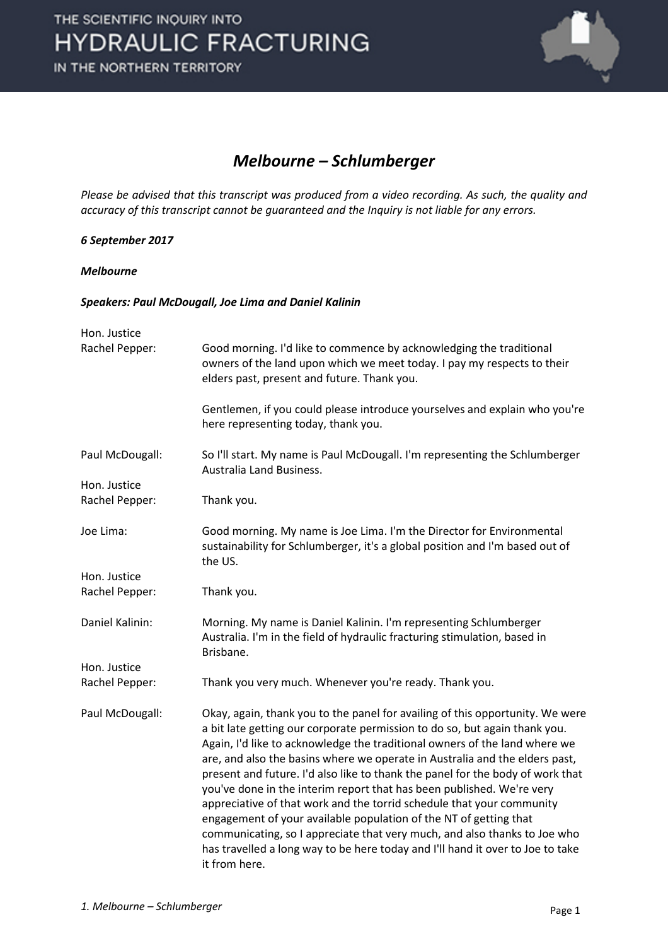

#### *Melbourne – Schlumberger*

*Please be advised that this transcript was produced from a video recording. As such, the quality and accuracy of this transcript cannot be guaranteed and the Inquiry is not liable for any errors.*

#### *6 September 2017*

#### *Melbourne*

#### *Speakers: Paul McDougall, Joe Lima and Daniel Kalinin*

| Hon. Justice    |                                                                                                                                                                                                                                                                                                                                                                                                                                                                                                                                                                                                                                                                                                                                                                                                                   |
|-----------------|-------------------------------------------------------------------------------------------------------------------------------------------------------------------------------------------------------------------------------------------------------------------------------------------------------------------------------------------------------------------------------------------------------------------------------------------------------------------------------------------------------------------------------------------------------------------------------------------------------------------------------------------------------------------------------------------------------------------------------------------------------------------------------------------------------------------|
| Rachel Pepper:  | Good morning. I'd like to commence by acknowledging the traditional<br>owners of the land upon which we meet today. I pay my respects to their<br>elders past, present and future. Thank you.                                                                                                                                                                                                                                                                                                                                                                                                                                                                                                                                                                                                                     |
|                 | Gentlemen, if you could please introduce yourselves and explain who you're<br>here representing today, thank you.                                                                                                                                                                                                                                                                                                                                                                                                                                                                                                                                                                                                                                                                                                 |
| Paul McDougall: | So I'll start. My name is Paul McDougall. I'm representing the Schlumberger<br>Australia Land Business.                                                                                                                                                                                                                                                                                                                                                                                                                                                                                                                                                                                                                                                                                                           |
| Hon. Justice    |                                                                                                                                                                                                                                                                                                                                                                                                                                                                                                                                                                                                                                                                                                                                                                                                                   |
| Rachel Pepper:  | Thank you.                                                                                                                                                                                                                                                                                                                                                                                                                                                                                                                                                                                                                                                                                                                                                                                                        |
| Joe Lima:       | Good morning. My name is Joe Lima. I'm the Director for Environmental<br>sustainability for Schlumberger, it's a global position and I'm based out of<br>the US.                                                                                                                                                                                                                                                                                                                                                                                                                                                                                                                                                                                                                                                  |
| Hon. Justice    |                                                                                                                                                                                                                                                                                                                                                                                                                                                                                                                                                                                                                                                                                                                                                                                                                   |
| Rachel Pepper:  | Thank you.                                                                                                                                                                                                                                                                                                                                                                                                                                                                                                                                                                                                                                                                                                                                                                                                        |
| Daniel Kalinin: | Morning. My name is Daniel Kalinin. I'm representing Schlumberger<br>Australia. I'm in the field of hydraulic fracturing stimulation, based in<br>Brisbane.                                                                                                                                                                                                                                                                                                                                                                                                                                                                                                                                                                                                                                                       |
| Hon. Justice    |                                                                                                                                                                                                                                                                                                                                                                                                                                                                                                                                                                                                                                                                                                                                                                                                                   |
| Rachel Pepper:  | Thank you very much. Whenever you're ready. Thank you.                                                                                                                                                                                                                                                                                                                                                                                                                                                                                                                                                                                                                                                                                                                                                            |
| Paul McDougall: | Okay, again, thank you to the panel for availing of this opportunity. We were<br>a bit late getting our corporate permission to do so, but again thank you.<br>Again, I'd like to acknowledge the traditional owners of the land where we<br>are, and also the basins where we operate in Australia and the elders past,<br>present and future. I'd also like to thank the panel for the body of work that<br>you've done in the interim report that has been published. We're very<br>appreciative of that work and the torrid schedule that your community<br>engagement of your available population of the NT of getting that<br>communicating, so I appreciate that very much, and also thanks to Joe who<br>has travelled a long way to be here today and I'll hand it over to Joe to take<br>it from here. |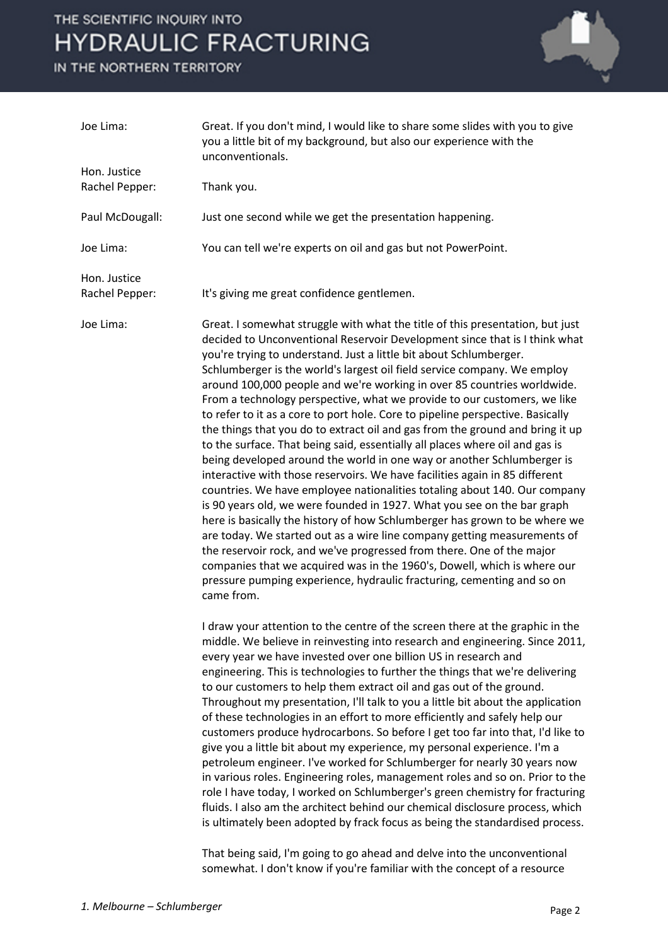IN THE NORTHERN TERRITORY



| Joe Lima:       | Great. If you don't mind, I would like to share some slides with you to give<br>you a little bit of my background, but also our experience with the<br>unconventionals.                                                                                                                                                                                                                                                                                                                                                                                                                                                                                                                                                                                                                                                                                                                                                                                                                                                                                                                                                                                                                                                                                                                                                                                                                                                                         |
|-----------------|-------------------------------------------------------------------------------------------------------------------------------------------------------------------------------------------------------------------------------------------------------------------------------------------------------------------------------------------------------------------------------------------------------------------------------------------------------------------------------------------------------------------------------------------------------------------------------------------------------------------------------------------------------------------------------------------------------------------------------------------------------------------------------------------------------------------------------------------------------------------------------------------------------------------------------------------------------------------------------------------------------------------------------------------------------------------------------------------------------------------------------------------------------------------------------------------------------------------------------------------------------------------------------------------------------------------------------------------------------------------------------------------------------------------------------------------------|
| Hon. Justice    |                                                                                                                                                                                                                                                                                                                                                                                                                                                                                                                                                                                                                                                                                                                                                                                                                                                                                                                                                                                                                                                                                                                                                                                                                                                                                                                                                                                                                                                 |
| Rachel Pepper:  | Thank you.                                                                                                                                                                                                                                                                                                                                                                                                                                                                                                                                                                                                                                                                                                                                                                                                                                                                                                                                                                                                                                                                                                                                                                                                                                                                                                                                                                                                                                      |
| Paul McDougall: | Just one second while we get the presentation happening.                                                                                                                                                                                                                                                                                                                                                                                                                                                                                                                                                                                                                                                                                                                                                                                                                                                                                                                                                                                                                                                                                                                                                                                                                                                                                                                                                                                        |
| Joe Lima:       | You can tell we're experts on oil and gas but not PowerPoint.                                                                                                                                                                                                                                                                                                                                                                                                                                                                                                                                                                                                                                                                                                                                                                                                                                                                                                                                                                                                                                                                                                                                                                                                                                                                                                                                                                                   |
| Hon. Justice    |                                                                                                                                                                                                                                                                                                                                                                                                                                                                                                                                                                                                                                                                                                                                                                                                                                                                                                                                                                                                                                                                                                                                                                                                                                                                                                                                                                                                                                                 |
| Rachel Pepper:  | It's giving me great confidence gentlemen.                                                                                                                                                                                                                                                                                                                                                                                                                                                                                                                                                                                                                                                                                                                                                                                                                                                                                                                                                                                                                                                                                                                                                                                                                                                                                                                                                                                                      |
| Joe Lima:       | Great. I somewhat struggle with what the title of this presentation, but just<br>decided to Unconventional Reservoir Development since that is I think what<br>you're trying to understand. Just a little bit about Schlumberger.<br>Schlumberger is the world's largest oil field service company. We employ<br>around 100,000 people and we're working in over 85 countries worldwide.<br>From a technology perspective, what we provide to our customers, we like<br>to refer to it as a core to port hole. Core to pipeline perspective. Basically<br>the things that you do to extract oil and gas from the ground and bring it up<br>to the surface. That being said, essentially all places where oil and gas is<br>being developed around the world in one way or another Schlumberger is<br>interactive with those reservoirs. We have facilities again in 85 different<br>countries. We have employee nationalities totaling about 140. Our company<br>is 90 years old, we were founded in 1927. What you see on the bar graph<br>here is basically the history of how Schlumberger has grown to be where we<br>are today. We started out as a wire line company getting measurements of<br>the reservoir rock, and we've progressed from there. One of the major<br>companies that we acquired was in the 1960's, Dowell, which is where our<br>pressure pumping experience, hydraulic fracturing, cementing and so on<br>came from. |
|                 | I draw your attention to the centre of the screen there at the graphic in the<br>middle. We believe in reinvesting into research and engineering. Since 2011,<br>every year we have invested over one billion US in research and<br>engineering. This is technologies to further the things that we're delivering<br>to our customers to help them extract oil and gas out of the ground.<br>Throughout my presentation, I'll talk to you a little bit about the application<br>of these technologies in an effort to more efficiently and safely help our<br>customers produce hydrocarbons. So before I get too far into that, I'd like to<br>give you a little bit about my experience, my personal experience. I'm a<br>petroleum engineer. I've worked for Schlumberger for nearly 30 years now<br>in various roles. Engineering roles, management roles and so on. Prior to the<br>role I have today, I worked on Schlumberger's green chemistry for fracturing<br>fluids. I also am the architect behind our chemical disclosure process, which<br>is ultimately been adopted by frack focus as being the standardised process.                                                                                                                                                                                                                                                                                                          |

That being said, I'm going to go ahead and delve into the unconventional somewhat. I don't know if you're familiar with the concept of a resource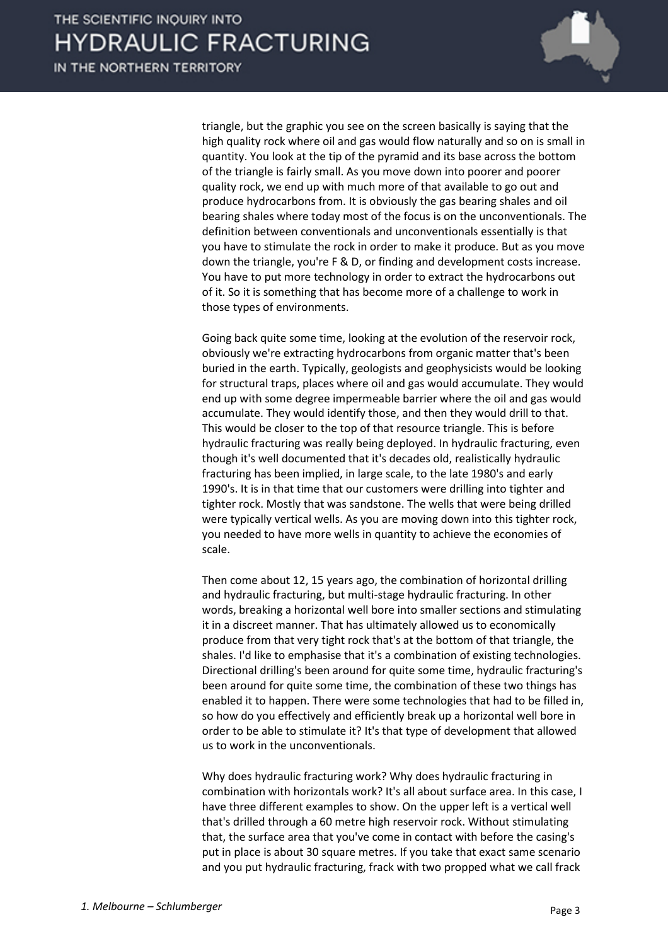

triangle, but the graphic you see on the screen basically is saying that the high quality rock where oil and gas would flow naturally and so on is small in quantity. You look at the tip of the pyramid and its base across the bottom of the triangle is fairly small. As you move down into poorer and poorer quality rock, we end up with much more of that available to go out and produce hydrocarbons from. It is obviously the gas bearing shales and oil bearing shales where today most of the focus is on the unconventionals. The definition between conventionals and unconventionals essentially is that you have to stimulate the rock in order to make it produce. But as you move down the triangle, you're F & D, or finding and development costs increase. You have to put more technology in order to extract the hydrocarbons out of it. So it is something that has become more of a challenge to work in those types of environments.

Going back quite some time, looking at the evolution of the reservoir rock, obviously we're extracting hydrocarbons from organic matter that's been buried in the earth. Typically, geologists and geophysicists would be looking for structural traps, places where oil and gas would accumulate. They would end up with some degree impermeable barrier where the oil and gas would accumulate. They would identify those, and then they would drill to that. This would be closer to the top of that resource triangle. This is before hydraulic fracturing was really being deployed. In hydraulic fracturing, even though it's well documented that it's decades old, realistically hydraulic fracturing has been implied, in large scale, to the late 1980's and early 1990's. It is in that time that our customers were drilling into tighter and tighter rock. Mostly that was sandstone. The wells that were being drilled were typically vertical wells. As you are moving down into this tighter rock, you needed to have more wells in quantity to achieve the economies of scale.

Then come about 12, 15 years ago, the combination of horizontal drilling and hydraulic fracturing, but multi-stage hydraulic fracturing. In other words, breaking a horizontal well bore into smaller sections and stimulating it in a discreet manner. That has ultimately allowed us to economically produce from that very tight rock that's at the bottom of that triangle, the shales. I'd like to emphasise that it's a combination of existing technologies. Directional drilling's been around for quite some time, hydraulic fracturing's been around for quite some time, the combination of these two things has enabled it to happen. There were some technologies that had to be filled in, so how do you effectively and efficiently break up a horizontal well bore in order to be able to stimulate it? It's that type of development that allowed us to work in the unconventionals.

Why does hydraulic fracturing work? Why does hydraulic fracturing in combination with horizontals work? It's all about surface area. In this case, I have three different examples to show. On the upper left is a vertical well that's drilled through a 60 metre high reservoir rock. Without stimulating that, the surface area that you've come in contact with before the casing's put in place is about 30 square metres. If you take that exact same scenario and you put hydraulic fracturing, frack with two propped what we call frack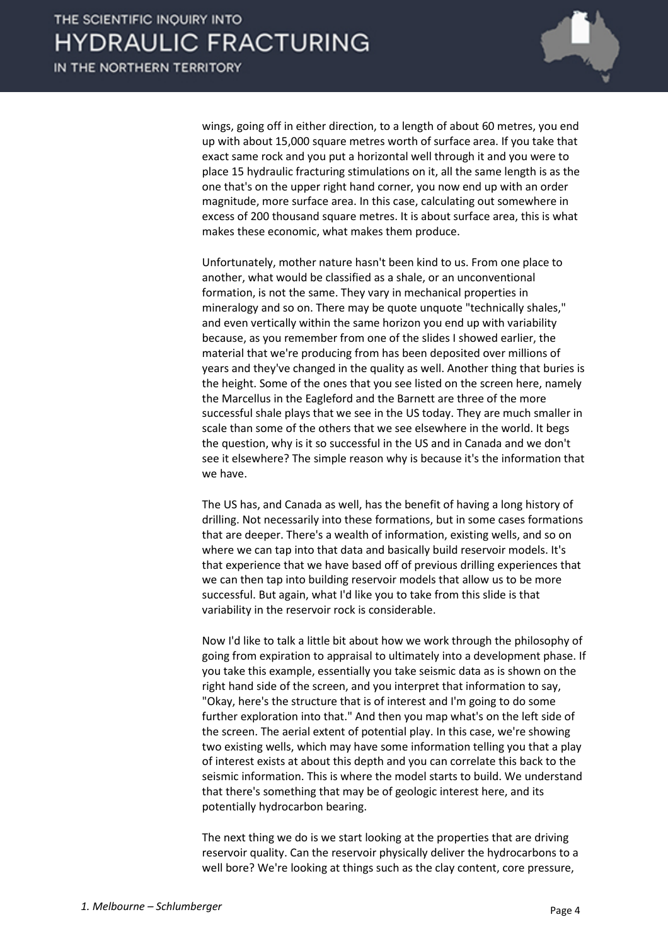

wings, going off in either direction, to a length of about 60 metres, you end up with about 15,000 square metres worth of surface area. If you take that exact same rock and you put a horizontal well through it and you were to place 15 hydraulic fracturing stimulations on it, all the same length is as the one that's on the upper right hand corner, you now end up with an order magnitude, more surface area. In this case, calculating out somewhere in excess of 200 thousand square metres. It is about surface area, this is what makes these economic, what makes them produce.

Unfortunately, mother nature hasn't been kind to us. From one place to another, what would be classified as a shale, or an unconventional formation, is not the same. They vary in mechanical properties in mineralogy and so on. There may be quote unquote "technically shales," and even vertically within the same horizon you end up with variability because, as you remember from one of the slides I showed earlier, the material that we're producing from has been deposited over millions of years and they've changed in the quality as well. Another thing that buries is the height. Some of the ones that you see listed on the screen here, namely the Marcellus in the Eagleford and the Barnett are three of the more successful shale plays that we see in the US today. They are much smaller in scale than some of the others that we see elsewhere in the world. It begs the question, why is it so successful in the US and in Canada and we don't see it elsewhere? The simple reason why is because it's the information that we have.

The US has, and Canada as well, has the benefit of having a long history of drilling. Not necessarily into these formations, but in some cases formations that are deeper. There's a wealth of information, existing wells, and so on where we can tap into that data and basically build reservoir models. It's that experience that we have based off of previous drilling experiences that we can then tap into building reservoir models that allow us to be more successful. But again, what I'd like you to take from this slide is that variability in the reservoir rock is considerable.

Now I'd like to talk a little bit about how we work through the philosophy of going from expiration to appraisal to ultimately into a development phase. If you take this example, essentially you take seismic data as is shown on the right hand side of the screen, and you interpret that information to say, "Okay, here's the structure that is of interest and I'm going to do some further exploration into that." And then you map what's on the left side of the screen. The aerial extent of potential play. In this case, we're showing two existing wells, which may have some information telling you that a play of interest exists at about this depth and you can correlate this back to the seismic information. This is where the model starts to build. We understand that there's something that may be of geologic interest here, and its potentially hydrocarbon bearing.

The next thing we do is we start looking at the properties that are driving reservoir quality. Can the reservoir physically deliver the hydrocarbons to a well bore? We're looking at things such as the clay content, core pressure,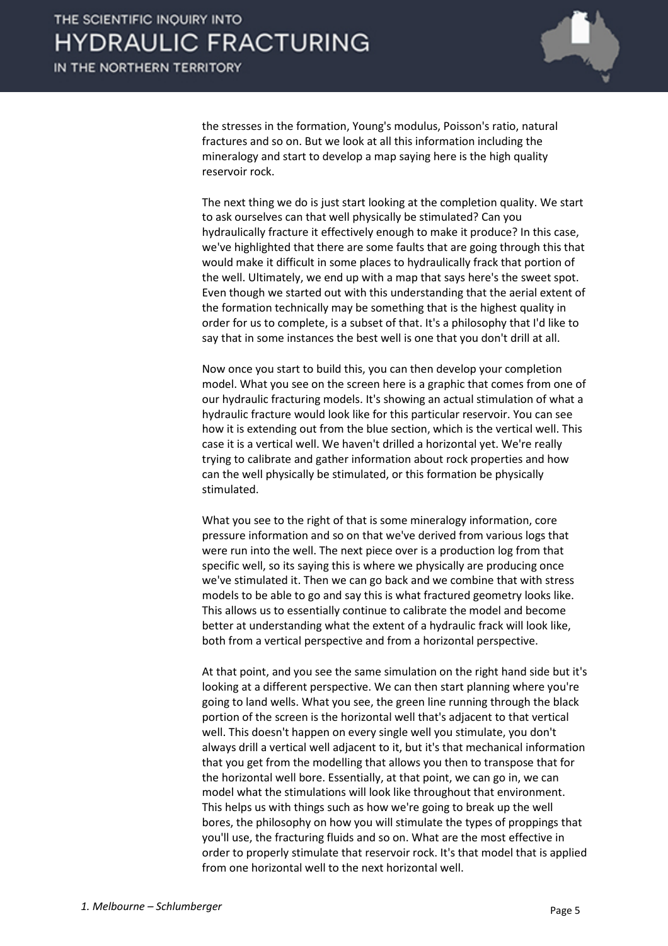

the stresses in the formation, Young's modulus, Poisson's ratio, natural fractures and so on. But we look at all this information including the mineralogy and start to develop a map saying here is the high quality reservoir rock.

The next thing we do is just start looking at the completion quality. We start to ask ourselves can that well physically be stimulated? Can you hydraulically fracture it effectively enough to make it produce? In this case, we've highlighted that there are some faults that are going through this that would make it difficult in some places to hydraulically frack that portion of the well. Ultimately, we end up with a map that says here's the sweet spot. Even though we started out with this understanding that the aerial extent of the formation technically may be something that is the highest quality in order for us to complete, is a subset of that. It's a philosophy that I'd like to say that in some instances the best well is one that you don't drill at all.

Now once you start to build this, you can then develop your completion model. What you see on the screen here is a graphic that comes from one of our hydraulic fracturing models. It's showing an actual stimulation of what a hydraulic fracture would look like for this particular reservoir. You can see how it is extending out from the blue section, which is the vertical well. This case it is a vertical well. We haven't drilled a horizontal yet. We're really trying to calibrate and gather information about rock properties and how can the well physically be stimulated, or this formation be physically stimulated.

What you see to the right of that is some mineralogy information, core pressure information and so on that we've derived from various logs that were run into the well. The next piece over is a production log from that specific well, so its saying this is where we physically are producing once we've stimulated it. Then we can go back and we combine that with stress models to be able to go and say this is what fractured geometry looks like. This allows us to essentially continue to calibrate the model and become better at understanding what the extent of a hydraulic frack will look like, both from a vertical perspective and from a horizontal perspective.

At that point, and you see the same simulation on the right hand side but it's looking at a different perspective. We can then start planning where you're going to land wells. What you see, the green line running through the black portion of the screen is the horizontal well that's adjacent to that vertical well. This doesn't happen on every single well you stimulate, you don't always drill a vertical well adjacent to it, but it's that mechanical information that you get from the modelling that allows you then to transpose that for the horizontal well bore. Essentially, at that point, we can go in, we can model what the stimulations will look like throughout that environment. This helps us with things such as how we're going to break up the well bores, the philosophy on how you will stimulate the types of proppings that you'll use, the fracturing fluids and so on. What are the most effective in order to properly stimulate that reservoir rock. It's that model that is applied from one horizontal well to the next horizontal well.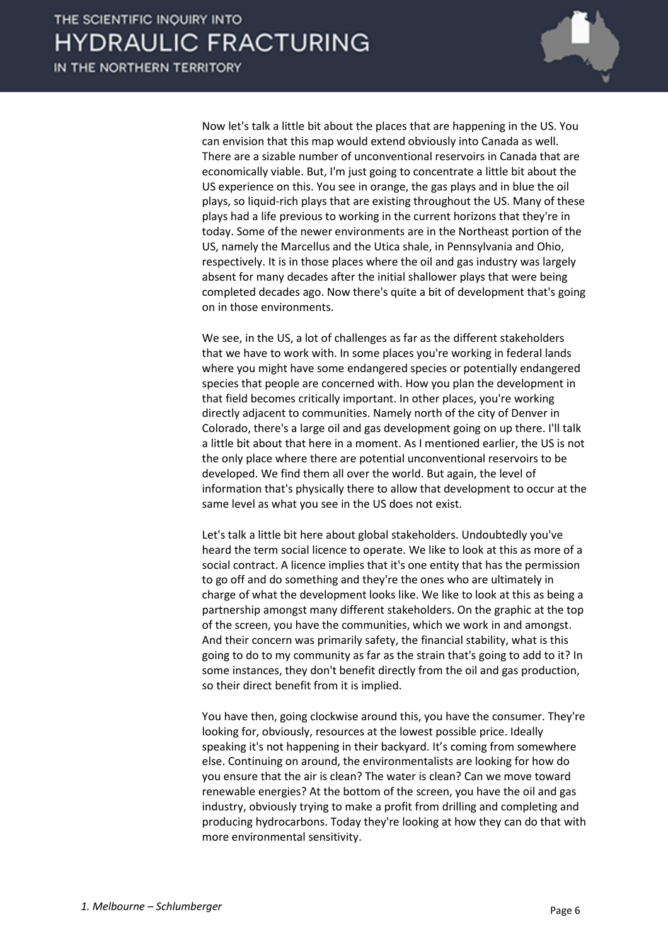

Now let's talk a little bit about the places that are happening in the US. You can envision that this map would extend obviously into Canada as well. There are a sizable number of unconventional reservoirs in Canada that are economically viable. But, I'm just going to concentrate a little bit about the US experience on this. You see in orange, the gas plays and in blue the oil plays, so liquid-rich plays that are existing throughout the US. Many of these plays had a life previous to working in the current horizons that they're in today. Some of the newer environments are in the Northeast portion of the US, namely the Marcellus and the Utica shale, in Pennsylvania and Ohio, respectively. It is in those places where the oil and gas industry was largely absent for many decades after the initial shallower plays that were being completed decades ago. Now there's quite a bit of development that's going on in those environments.

We see, in the US, a lot of challenges as far as the different stakeholders that we have to work with. In some places you're working in federal lands where you might have some endangered species or potentially endangered species that people are concerned with. How you plan the development in that field becomes critically important. In other places, you're working directly adjacent to communities. Namely north of the city of Denver in Colorado, there's a large oil and gas development going on up there. I'll talk a little bit about that here in a moment. As I mentioned earlier, the US is not the only place where there are potential unconventional reservoirs to be developed. We find them all over the world. But again, the level of information that's physically there to allow that development to occur at the same level as what you see in the US does not exist.

Let's talk a little bit here about global stakeholders. Undoubtedly you've heard the term social licence to operate. We like to look at this as more of a social contract. A licence implies that it's one entity that has the permission to go off and do something and they're the ones who are ultimately in charge of what the development looks like. We like to look at this as being a partnership amongst many different stakeholders. On the graphic at the top of the screen, you have the communities, which we work in and amongst. And their concern was primarily safety, the financial stability, what is this going to do to my community as far as the strain that's going to add to it? In some instances, they don't benefit directly from the oil and gas production, so their direct benefit from it is implied.

You have then, going clockwise around this, you have the consumer. They're looking for, obviously, resources at the lowest possible price. Ideally speaking it's not happening in their backyard. It's coming from somewhere else. Continuing on around, the environmentalists are looking for how do you ensure that the air is clean? The water is clean? Can we move toward renewable energies? At the bottom of the screen, you have the oil and gas industry, obviously trying to make a profit from drilling and completing and producing hydrocarbons. Today they're looking at how they can do that with more environmental sensitivity.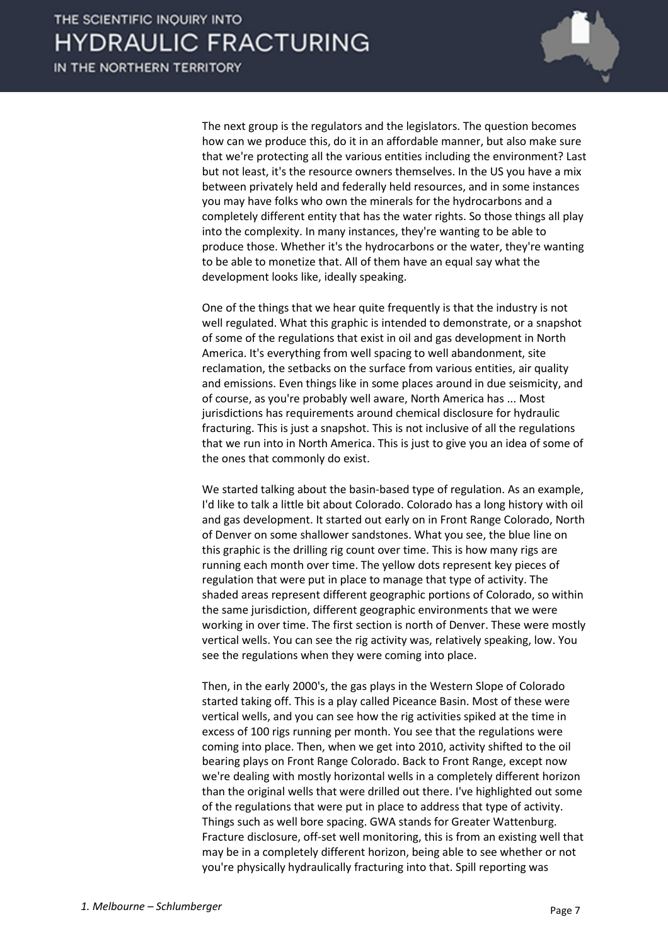

The next group is the regulators and the legislators. The question becomes how can we produce this, do it in an affordable manner, but also make sure that we're protecting all the various entities including the environment? Last but not least, it's the resource owners themselves. In the US you have a mix between privately held and federally held resources, and in some instances you may have folks who own the minerals for the hydrocarbons and a completely different entity that has the water rights. So those things all play into the complexity. In many instances, they're wanting to be able to produce those. Whether it's the hydrocarbons or the water, they're wanting to be able to monetize that. All of them have an equal say what the development looks like, ideally speaking.

One of the things that we hear quite frequently is that the industry is not well regulated. What this graphic is intended to demonstrate, or a snapshot of some of the regulations that exist in oil and gas development in North America. It's everything from well spacing to well abandonment, site reclamation, the setbacks on the surface from various entities, air quality and emissions. Even things like in some places around in due seismicity, and of course, as you're probably well aware, North America has ... Most jurisdictions has requirements around chemical disclosure for hydraulic fracturing. This is just a snapshot. This is not inclusive of all the regulations that we run into in North America. This is just to give you an idea of some of the ones that commonly do exist.

We started talking about the basin-based type of regulation. As an example, I'd like to talk a little bit about Colorado. Colorado has a long history with oil and gas development. It started out early on in Front Range Colorado, North of Denver on some shallower sandstones. What you see, the blue line on this graphic is the drilling rig count over time. This is how many rigs are running each month over time. The yellow dots represent key pieces of regulation that were put in place to manage that type of activity. The shaded areas represent different geographic portions of Colorado, so within the same jurisdiction, different geographic environments that we were working in over time. The first section is north of Denver. These were mostly vertical wells. You can see the rig activity was, relatively speaking, low. You see the regulations when they were coming into place.

Then, in the early 2000's, the gas plays in the Western Slope of Colorado started taking off. This is a play called Piceance Basin. Most of these were vertical wells, and you can see how the rig activities spiked at the time in excess of 100 rigs running per month. You see that the regulations were coming into place. Then, when we get into 2010, activity shifted to the oil bearing plays on Front Range Colorado. Back to Front Range, except now we're dealing with mostly horizontal wells in a completely different horizon than the original wells that were drilled out there. I've highlighted out some of the regulations that were put in place to address that type of activity. Things such as well bore spacing. GWA stands for Greater Wattenburg. Fracture disclosure, off-set well monitoring, this is from an existing well that may be in a completely different horizon, being able to see whether or not you're physically hydraulically fracturing into that. Spill reporting was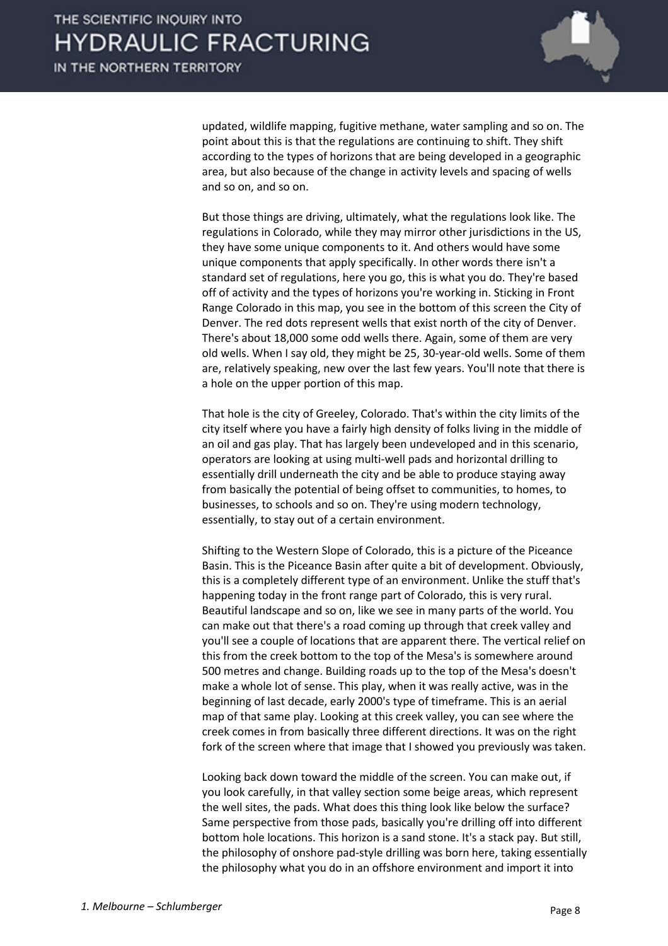

updated, wildlife mapping, fugitive methane, water sampling and so on. The point about this is that the regulations are continuing to shift. They shift according to the types of horizons that are being developed in a geographic area, but also because of the change in activity levels and spacing of wells and so on, and so on.

But those things are driving, ultimately, what the regulations look like. The regulations in Colorado, while they may mirror other jurisdictions in the US, they have some unique components to it. And others would have some unique components that apply specifically. In other words there isn't a standard set of regulations, here you go, this is what you do. They're based off of activity and the types of horizons you're working in. Sticking in Front Range Colorado in this map, you see in the bottom of this screen the City of Denver. The red dots represent wells that exist north of the city of Denver. There's about 18,000 some odd wells there. Again, some of them are very old wells. When I say old, they might be 25, 30-year-old wells. Some of them are, relatively speaking, new over the last few years. You'll note that there is a hole on the upper portion of this map.

That hole is the city of Greeley, Colorado. That's within the city limits of the city itself where you have a fairly high density of folks living in the middle of an oil and gas play. That has largely been undeveloped and in this scenario, operators are looking at using multi-well pads and horizontal drilling to essentially drill underneath the city and be able to produce staying away from basically the potential of being offset to communities, to homes, to businesses, to schools and so on. They're using modern technology, essentially, to stay out of a certain environment.

Shifting to the Western Slope of Colorado, this is a picture of the Piceance Basin. This is the Piceance Basin after quite a bit of development. Obviously, this is a completely different type of an environment. Unlike the stuff that's happening today in the front range part of Colorado, this is very rural. Beautiful landscape and so on, like we see in many parts of the world. You can make out that there's a road coming up through that creek valley and you'll see a couple of locations that are apparent there. The vertical relief on this from the creek bottom to the top of the Mesa's is somewhere around 500 metres and change. Building roads up to the top of the Mesa's doesn't make a whole lot of sense. This play, when it was really active, was in the beginning of last decade, early 2000's type of timeframe. This is an aerial map of that same play. Looking at this creek valley, you can see where the creek comes in from basically three different directions. It was on the right fork of the screen where that image that I showed you previously was taken.

Looking back down toward the middle of the screen. You can make out, if you look carefully, in that valley section some beige areas, which represent the well sites, the pads. What does this thing look like below the surface? Same perspective from those pads, basically you're drilling off into different bottom hole locations. This horizon is a sand stone. It's a stack pay. But still, the philosophy of onshore pad-style drilling was born here, taking essentially the philosophy what you do in an offshore environment and import it into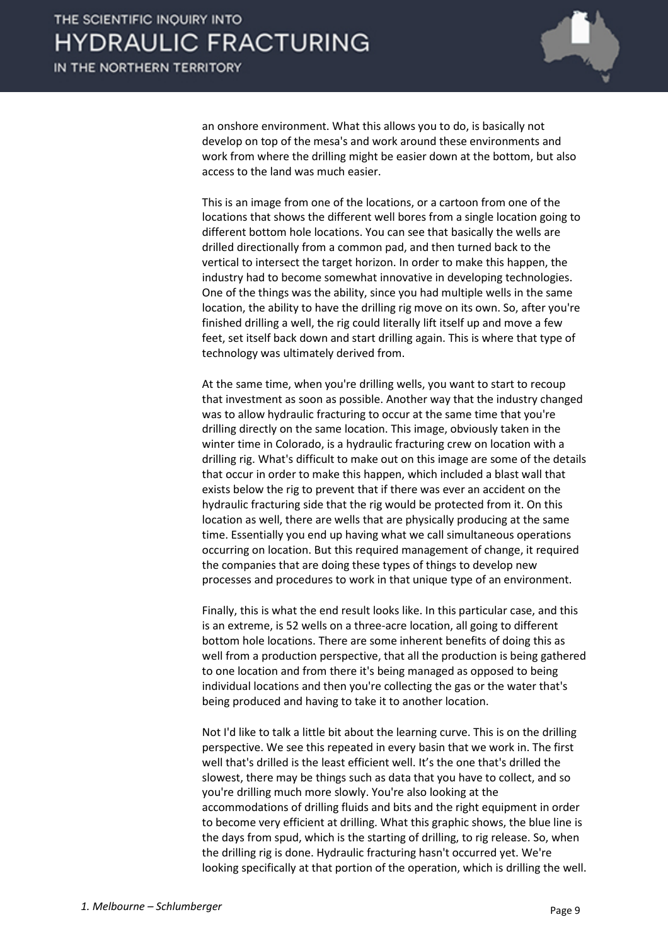

an onshore environment. What this allows you to do, is basically not develop on top of the mesa's and work around these environments and work from where the drilling might be easier down at the bottom, but also access to the land was much easier.

This is an image from one of the locations, or a cartoon from one of the locations that shows the different well bores from a single location going to different bottom hole locations. You can see that basically the wells are drilled directionally from a common pad, and then turned back to the vertical to intersect the target horizon. In order to make this happen, the industry had to become somewhat innovative in developing technologies. One of the things was the ability, since you had multiple wells in the same location, the ability to have the drilling rig move on its own. So, after you're finished drilling a well, the rig could literally lift itself up and move a few feet, set itself back down and start drilling again. This is where that type of technology was ultimately derived from.

At the same time, when you're drilling wells, you want to start to recoup that investment as soon as possible. Another way that the industry changed was to allow hydraulic fracturing to occur at the same time that you're drilling directly on the same location. This image, obviously taken in the winter time in Colorado, is a hydraulic fracturing crew on location with a drilling rig. What's difficult to make out on this image are some of the details that occur in order to make this happen, which included a blast wall that exists below the rig to prevent that if there was ever an accident on the hydraulic fracturing side that the rig would be protected from it. On this location as well, there are wells that are physically producing at the same time. Essentially you end up having what we call simultaneous operations occurring on location. But this required management of change, it required the companies that are doing these types of things to develop new processes and procedures to work in that unique type of an environment.

Finally, this is what the end result looks like. In this particular case, and this is an extreme, is 52 wells on a three-acre location, all going to different bottom hole locations. There are some inherent benefits of doing this as well from a production perspective, that all the production is being gathered to one location and from there it's being managed as opposed to being individual locations and then you're collecting the gas or the water that's being produced and having to take it to another location.

Not I'd like to talk a little bit about the learning curve. This is on the drilling perspective. We see this repeated in every basin that we work in. The first well that's drilled is the least efficient well. It's the one that's drilled the slowest, there may be things such as data that you have to collect, and so you're drilling much more slowly. You're also looking at the accommodations of drilling fluids and bits and the right equipment in order to become very efficient at drilling. What this graphic shows, the blue line is the days from spud, which is the starting of drilling, to rig release. So, when the drilling rig is done. Hydraulic fracturing hasn't occurred yet. We're looking specifically at that portion of the operation, which is drilling the well.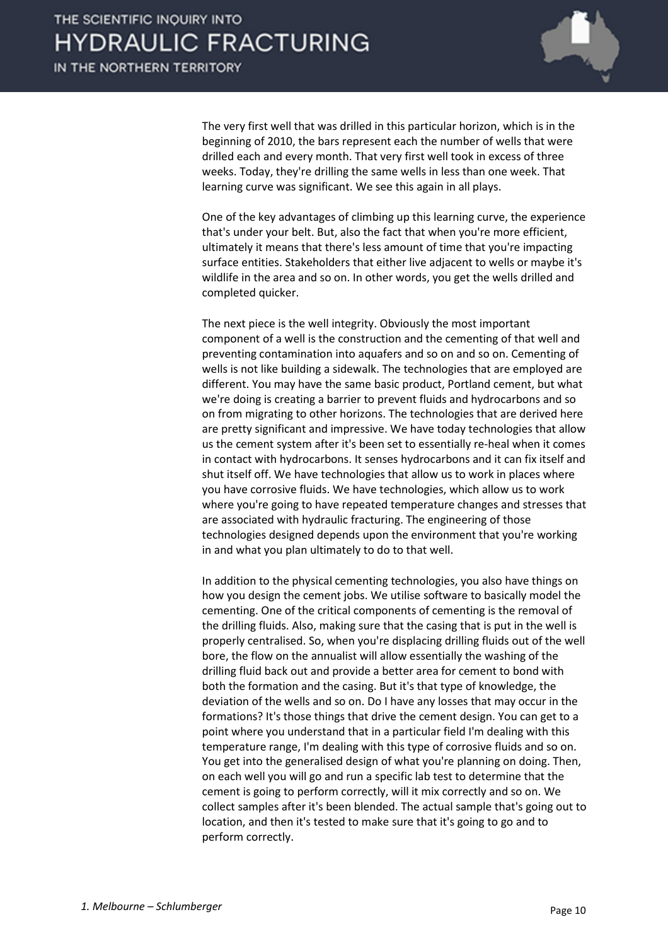

The very first well that was drilled in this particular horizon, which is in the beginning of 2010, the bars represent each the number of wells that were drilled each and every month. That very first well took in excess of three weeks. Today, they're drilling the same wells in less than one week. That learning curve was significant. We see this again in all plays.

One of the key advantages of climbing up this learning curve, the experience that's under your belt. But, also the fact that when you're more efficient, ultimately it means that there's less amount of time that you're impacting surface entities. Stakeholders that either live adjacent to wells or maybe it's wildlife in the area and so on. In other words, you get the wells drilled and completed quicker.

The next piece is the well integrity. Obviously the most important component of a well is the construction and the cementing of that well and preventing contamination into aquafers and so on and so on. Cementing of wells is not like building a sidewalk. The technologies that are employed are different. You may have the same basic product, Portland cement, but what we're doing is creating a barrier to prevent fluids and hydrocarbons and so on from migrating to other horizons. The technologies that are derived here are pretty significant and impressive. We have today technologies that allow us the cement system after it's been set to essentially re-heal when it comes in contact with hydrocarbons. It senses hydrocarbons and it can fix itself and shut itself off. We have technologies that allow us to work in places where you have corrosive fluids. We have technologies, which allow us to work where you're going to have repeated temperature changes and stresses that are associated with hydraulic fracturing. The engineering of those technologies designed depends upon the environment that you're working in and what you plan ultimately to do to that well.

In addition to the physical cementing technologies, you also have things on how you design the cement jobs. We utilise software to basically model the cementing. One of the critical components of cementing is the removal of the drilling fluids. Also, making sure that the casing that is put in the well is properly centralised. So, when you're displacing drilling fluids out of the well bore, the flow on the annualist will allow essentially the washing of the drilling fluid back out and provide a better area for cement to bond with both the formation and the casing. But it's that type of knowledge, the deviation of the wells and so on. Do I have any losses that may occur in the formations? It's those things that drive the cement design. You can get to a point where you understand that in a particular field I'm dealing with this temperature range, I'm dealing with this type of corrosive fluids and so on. You get into the generalised design of what you're planning on doing. Then, on each well you will go and run a specific lab test to determine that the cement is going to perform correctly, will it mix correctly and so on. We collect samples after it's been blended. The actual sample that's going out to location, and then it's tested to make sure that it's going to go and to perform correctly.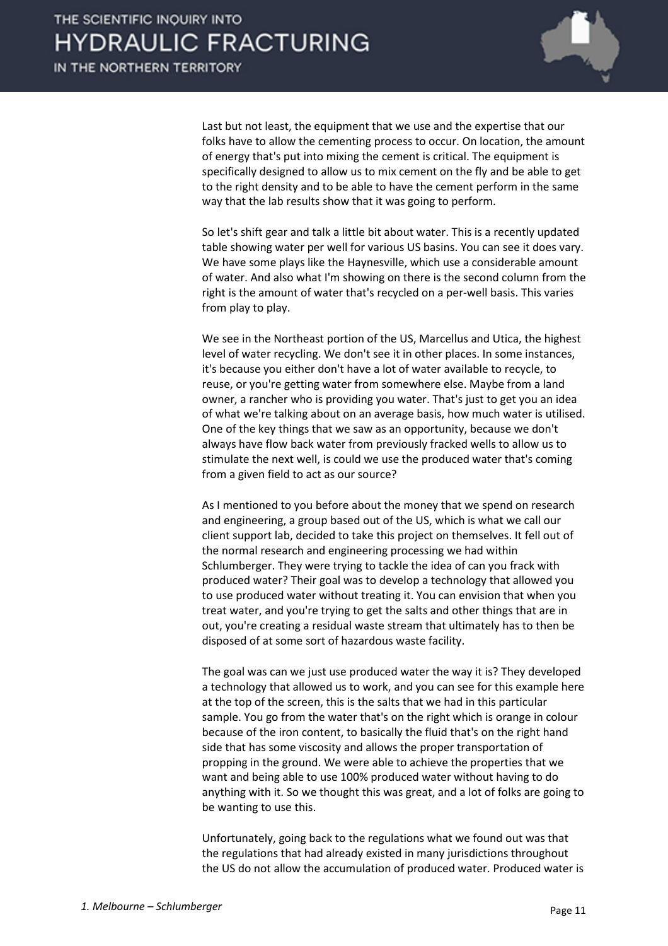

Last but not least, the equipment that we use and the expertise that our folks have to allow the cementing process to occur. On location, the amount of energy that's put into mixing the cement is critical. The equipment is specifically designed to allow us to mix cement on the fly and be able to get to the right density and to be able to have the cement perform in the same way that the lab results show that it was going to perform.

So let's shift gear and talk a little bit about water. This is a recently updated table showing water per well for various US basins. You can see it does vary. We have some plays like the Haynesville, which use a considerable amount of water. And also what I'm showing on there is the second column from the right is the amount of water that's recycled on a per-well basis. This varies from play to play.

We see in the Northeast portion of the US, Marcellus and Utica, the highest level of water recycling. We don't see it in other places. In some instances, it's because you either don't have a lot of water available to recycle, to reuse, or you're getting water from somewhere else. Maybe from a land owner, a rancher who is providing you water. That's just to get you an idea of what we're talking about on an average basis, how much water is utilised. One of the key things that we saw as an opportunity, because we don't always have flow back water from previously fracked wells to allow us to stimulate the next well, is could we use the produced water that's coming from a given field to act as our source?

As I mentioned to you before about the money that we spend on research and engineering, a group based out of the US, which is what we call our client support lab, decided to take this project on themselves. It fell out of the normal research and engineering processing we had within Schlumberger. They were trying to tackle the idea of can you frack with produced water? Their goal was to develop a technology that allowed you to use produced water without treating it. You can envision that when you treat water, and you're trying to get the salts and other things that are in out, you're creating a residual waste stream that ultimately has to then be disposed of at some sort of hazardous waste facility.

The goal was can we just use produced water the way it is? They developed a technology that allowed us to work, and you can see for this example here at the top of the screen, this is the salts that we had in this particular sample. You go from the water that's on the right which is orange in colour because of the iron content, to basically the fluid that's on the right hand side that has some viscosity and allows the proper transportation of propping in the ground. We were able to achieve the properties that we want and being able to use 100% produced water without having to do anything with it. So we thought this was great, and a lot of folks are going to be wanting to use this.

Unfortunately, going back to the regulations what we found out was that the regulations that had already existed in many jurisdictions throughout the US do not allow the accumulation of produced water. Produced water is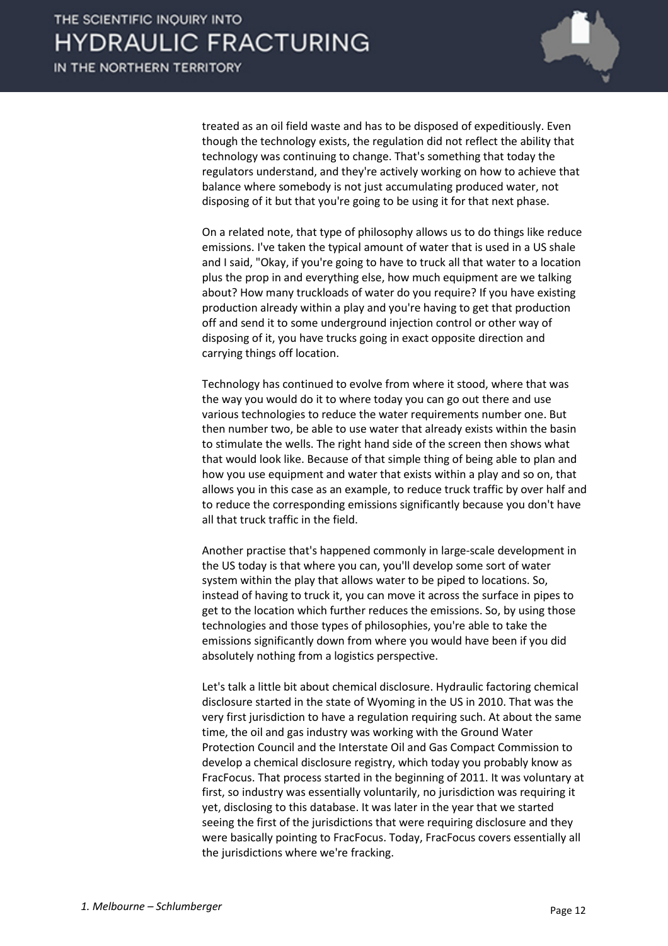

treated as an oil field waste and has to be disposed of expeditiously. Even though the technology exists, the regulation did not reflect the ability that technology was continuing to change. That's something that today the regulators understand, and they're actively working on how to achieve that balance where somebody is not just accumulating produced water, not disposing of it but that you're going to be using it for that next phase.

On a related note, that type of philosophy allows us to do things like reduce emissions. I've taken the typical amount of water that is used in a US shale and I said, "Okay, if you're going to have to truck all that water to a location plus the prop in and everything else, how much equipment are we talking about? How many truckloads of water do you require? If you have existing production already within a play and you're having to get that production off and send it to some underground injection control or other way of disposing of it, you have trucks going in exact opposite direction and carrying things off location.

Technology has continued to evolve from where it stood, where that was the way you would do it to where today you can go out there and use various technologies to reduce the water requirements number one. But then number two, be able to use water that already exists within the basin to stimulate the wells. The right hand side of the screen then shows what that would look like. Because of that simple thing of being able to plan and how you use equipment and water that exists within a play and so on, that allows you in this case as an example, to reduce truck traffic by over half and to reduce the corresponding emissions significantly because you don't have all that truck traffic in the field.

Another practise that's happened commonly in large-scale development in the US today is that where you can, you'll develop some sort of water system within the play that allows water to be piped to locations. So, instead of having to truck it, you can move it across the surface in pipes to get to the location which further reduces the emissions. So, by using those technologies and those types of philosophies, you're able to take the emissions significantly down from where you would have been if you did absolutely nothing from a logistics perspective.

Let's talk a little bit about chemical disclosure. Hydraulic factoring chemical disclosure started in the state of Wyoming in the US in 2010. That was the very first jurisdiction to have a regulation requiring such. At about the same time, the oil and gas industry was working with the Ground Water Protection Council and the Interstate Oil and Gas Compact Commission to develop a chemical disclosure registry, which today you probably know as FracFocus. That process started in the beginning of 2011. It was voluntary at first, so industry was essentially voluntarily, no jurisdiction was requiring it yet, disclosing to this database. It was later in the year that we started seeing the first of the jurisdictions that were requiring disclosure and they were basically pointing to FracFocus. Today, FracFocus covers essentially all the jurisdictions where we're fracking.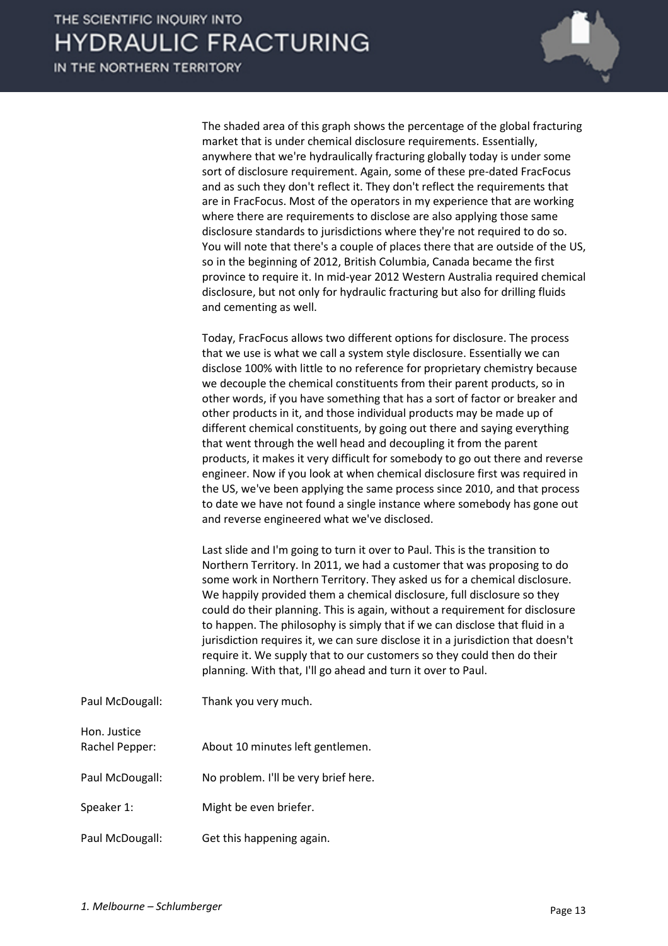

The shaded area of this graph shows the percentage of the global fracturing market that is under chemical disclosure requirements. Essentially, anywhere that we're hydraulically fracturing globally today is under some sort of disclosure requirement. Again, some of these pre-dated FracFocus and as such they don't reflect it. They don't reflect the requirements that are in FracFocus. Most of the operators in my experience that are working where there are requirements to disclose are also applying those same disclosure standards to jurisdictions where they're not required to do so. You will note that there's a couple of places there that are outside of the US, so in the beginning of 2012, British Columbia, Canada became the first province to require it. In mid-year 2012 Western Australia required chemical disclosure, but not only for hydraulic fracturing but also for drilling fluids and cementing as well.

Today, FracFocus allows two different options for disclosure. The process that we use is what we call a system style disclosure. Essentially we can disclose 100% with little to no reference for proprietary chemistry because we decouple the chemical constituents from their parent products, so in other words, if you have something that has a sort of factor or breaker and other products in it, and those individual products may be made up of different chemical constituents, by going out there and saying everything that went through the well head and decoupling it from the parent products, it makes it very difficult for somebody to go out there and reverse engineer. Now if you look at when chemical disclosure first was required in the US, we've been applying the same process since 2010, and that process to date we have not found a single instance where somebody has gone out and reverse engineered what we've disclosed.

Last slide and I'm going to turn it over to Paul. This is the transition to Northern Territory. In 2011, we had a customer that was proposing to do some work in Northern Territory. They asked us for a chemical disclosure. We happily provided them a chemical disclosure, full disclosure so they could do their planning. This is again, without a requirement for disclosure to happen. The philosophy is simply that if we can disclose that fluid in a jurisdiction requires it, we can sure disclose it in a jurisdiction that doesn't require it. We supply that to our customers so they could then do their planning. With that, I'll go ahead and turn it over to Paul.

Paul McDougall: Thank you very much.

Hon. Justice

- Rachel Pepper: About 10 minutes left gentlemen.
- Paul McDougall: No problem. I'll be very brief here.
- Speaker 1: Might be even briefer.
- Paul McDougall: Get this happening again.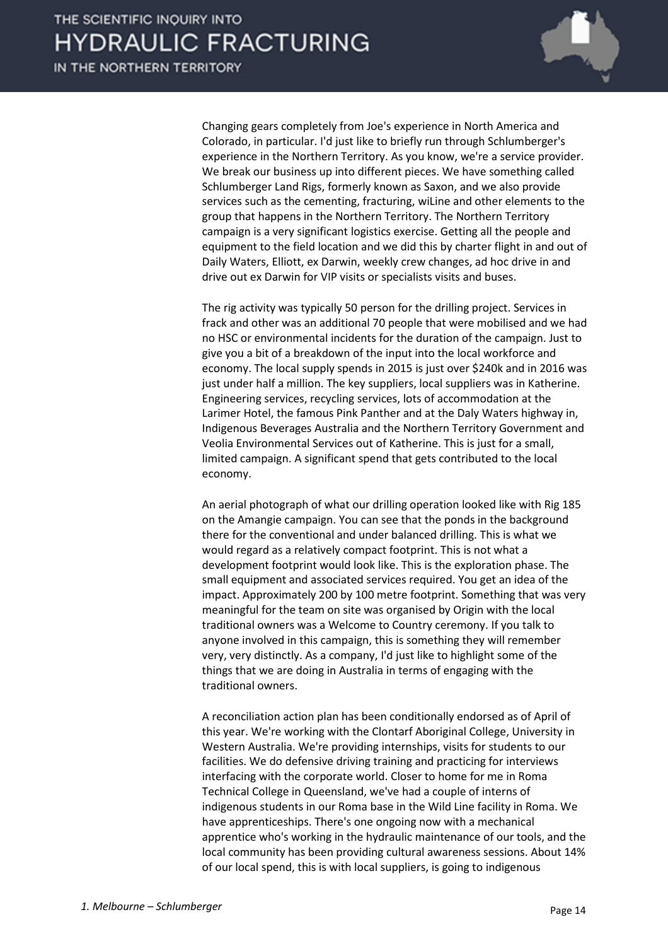

Changing gears completely from Joe's experience in North America and Colorado, in particular. I'd just like to briefly run through Schlumberger's experience in the Northern Territory. As you know, we're a service provider. We break our business up into different pieces. We have something called Schlumberger Land Rigs, formerly known as Saxon, and we also provide services such as the cementing, fracturing, wiLine and other elements to the group that happens in the Northern Territory. The Northern Territory campaign is a very significant logistics exercise. Getting all the people and equipment to the field location and we did this by charter flight in and out of Daily Waters, Elliott, ex Darwin, weekly crew changes, ad hoc drive in and drive out ex Darwin for VIP visits or specialists visits and buses.

The rig activity was typically 50 person for the drilling project. Services in frack and other was an additional 70 people that were mobilised and we had no HSC or environmental incidents for the duration of the campaign. Just to give you a bit of a breakdown of the input into the local workforce and economy. The local supply spends in 2015 is just over \$240k and in 2016 was just under half a million. The key suppliers, local suppliers was in Katherine. Engineering services, recycling services, lots of accommodation at the Larimer Hotel, the famous Pink Panther and at the Daly Waters highway in, Indigenous Beverages Australia and the Northern Territory Government and Veolia Environmental Services out of Katherine. This is just for a small, limited campaign. A significant spend that gets contributed to the local economy.

An aerial photograph of what our drilling operation looked like with Rig 185 on the Amangie campaign. You can see that the ponds in the background there for the conventional and under balanced drilling. This is what we would regard as a relatively compact footprint. This is not what a development footprint would look like. This is the exploration phase. The small equipment and associated services required. You get an idea of the impact. Approximately 200 by 100 metre footprint. Something that was very meaningful for the team on site was organised by Origin with the local traditional owners was a Welcome to Country ceremony. If you talk to anyone involved in this campaign, this is something they will remember very, very distinctly. As a company, I'd just like to highlight some of the things that we are doing in Australia in terms of engaging with the traditional owners.

A reconciliation action plan has been conditionally endorsed as of April of this year. We're working with the Clontarf Aboriginal College, University in Western Australia. We're providing internships, visits for students to our facilities. We do defensive driving training and practicing for interviews interfacing with the corporate world. Closer to home for me in Roma Technical College in Queensland, we've had a couple of interns of indigenous students in our Roma base in the Wild Line facility in Roma. We have apprenticeships. There's one ongoing now with a mechanical apprentice who's working in the hydraulic maintenance of our tools, and the local community has been providing cultural awareness sessions. About 14% of our local spend, this is with local suppliers, is going to indigenous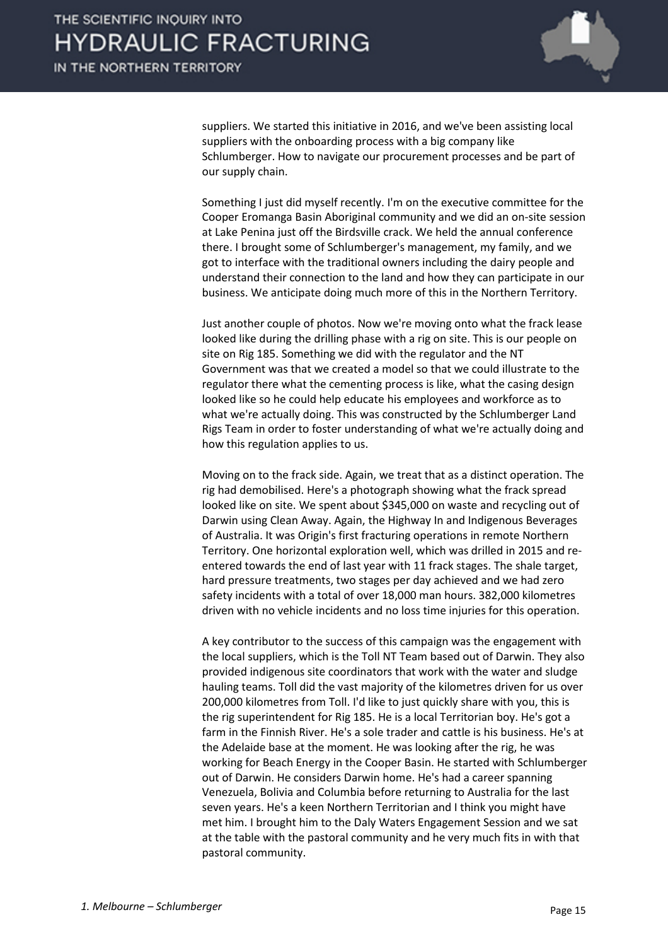

suppliers. We started this initiative in 2016, and we've been assisting local suppliers with the onboarding process with a big company like Schlumberger. How to navigate our procurement processes and be part of our supply chain.

Something I just did myself recently. I'm on the executive committee for the Cooper Eromanga Basin Aboriginal community and we did an on-site session at Lake Penina just off the Birdsville crack. We held the annual conference there. I brought some of Schlumberger's management, my family, and we got to interface with the traditional owners including the dairy people and understand their connection to the land and how they can participate in our business. We anticipate doing much more of this in the Northern Territory.

Just another couple of photos. Now we're moving onto what the frack lease looked like during the drilling phase with a rig on site. This is our people on site on Rig 185. Something we did with the regulator and the NT Government was that we created a model so that we could illustrate to the regulator there what the cementing process is like, what the casing design looked like so he could help educate his employees and workforce as to what we're actually doing. This was constructed by the Schlumberger Land Rigs Team in order to foster understanding of what we're actually doing and how this regulation applies to us.

Moving on to the frack side. Again, we treat that as a distinct operation. The rig had demobilised. Here's a photograph showing what the frack spread looked like on site. We spent about \$345,000 on waste and recycling out of Darwin using Clean Away. Again, the Highway In and Indigenous Beverages of Australia. It was Origin's first fracturing operations in remote Northern Territory. One horizontal exploration well, which was drilled in 2015 and reentered towards the end of last year with 11 frack stages. The shale target, hard pressure treatments, two stages per day achieved and we had zero safety incidents with a total of over 18,000 man hours. 382,000 kilometres driven with no vehicle incidents and no loss time injuries for this operation.

A key contributor to the success of this campaign was the engagement with the local suppliers, which is the Toll NT Team based out of Darwin. They also provided indigenous site coordinators that work with the water and sludge hauling teams. Toll did the vast majority of the kilometres driven for us over 200,000 kilometres from Toll. I'd like to just quickly share with you, this is the rig superintendent for Rig 185. He is a local Territorian boy. He's got a farm in the Finnish River. He's a sole trader and cattle is his business. He's at the Adelaide base at the moment. He was looking after the rig, he was working for Beach Energy in the Cooper Basin. He started with Schlumberger out of Darwin. He considers Darwin home. He's had a career spanning Venezuela, Bolivia and Columbia before returning to Australia for the last seven years. He's a keen Northern Territorian and I think you might have met him. I brought him to the Daly Waters Engagement Session and we sat at the table with the pastoral community and he very much fits in with that pastoral community.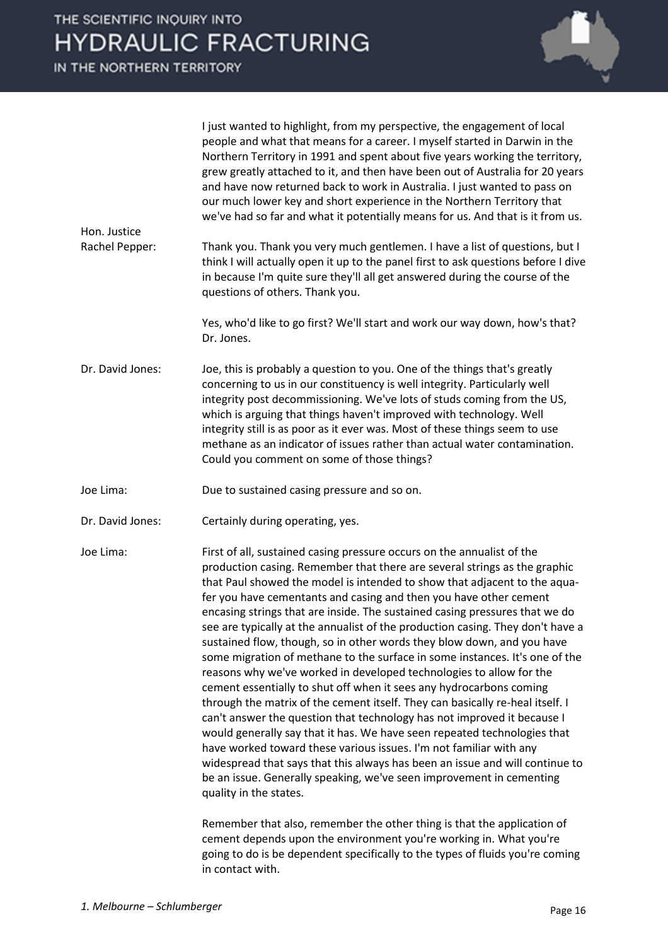| Hon. Justice<br>Rachel Pepper: | I just wanted to highlight, from my perspective, the engagement of local<br>people and what that means for a career. I myself started in Darwin in the<br>Northern Territory in 1991 and spent about five years working the territory,<br>grew greatly attached to it, and then have been out of Australia for 20 years<br>and have now returned back to work in Australia. I just wanted to pass on<br>our much lower key and short experience in the Northern Territory that<br>we've had so far and what it potentially means for us. And that is it from us.<br>Thank you. Thank you very much gentlemen. I have a list of questions, but I<br>think I will actually open it up to the panel first to ask questions before I dive<br>in because I'm quite sure they'll all get answered during the course of the                                                                                                                                                                                                                                                                                                                                                                                                                                                          |
|--------------------------------|-------------------------------------------------------------------------------------------------------------------------------------------------------------------------------------------------------------------------------------------------------------------------------------------------------------------------------------------------------------------------------------------------------------------------------------------------------------------------------------------------------------------------------------------------------------------------------------------------------------------------------------------------------------------------------------------------------------------------------------------------------------------------------------------------------------------------------------------------------------------------------------------------------------------------------------------------------------------------------------------------------------------------------------------------------------------------------------------------------------------------------------------------------------------------------------------------------------------------------------------------------------------------------|
|                                | questions of others. Thank you.<br>Yes, who'd like to go first? We'll start and work our way down, how's that?<br>Dr. Jones.                                                                                                                                                                                                                                                                                                                                                                                                                                                                                                                                                                                                                                                                                                                                                                                                                                                                                                                                                                                                                                                                                                                                                  |
| Dr. David Jones:               | Joe, this is probably a question to you. One of the things that's greatly<br>concerning to us in our constituency is well integrity. Particularly well<br>integrity post decommissioning. We've lots of studs coming from the US,<br>which is arguing that things haven't improved with technology. Well<br>integrity still is as poor as it ever was. Most of these things seem to use<br>methane as an indicator of issues rather than actual water contamination.<br>Could you comment on some of those things?                                                                                                                                                                                                                                                                                                                                                                                                                                                                                                                                                                                                                                                                                                                                                            |
| Joe Lima:                      | Due to sustained casing pressure and so on.                                                                                                                                                                                                                                                                                                                                                                                                                                                                                                                                                                                                                                                                                                                                                                                                                                                                                                                                                                                                                                                                                                                                                                                                                                   |
| Dr. David Jones:               | Certainly during operating, yes.                                                                                                                                                                                                                                                                                                                                                                                                                                                                                                                                                                                                                                                                                                                                                                                                                                                                                                                                                                                                                                                                                                                                                                                                                                              |
| Joe Lima:                      | First of all, sustained casing pressure occurs on the annualist of the<br>production casing. Remember that there are several strings as the graphic<br>that Paul showed the model is intended to show that adjacent to the aqua-<br>fer you have cementants and casing and then you have other cement<br>encasing strings that are inside. The sustained casing pressures that we do<br>see are typically at the annualist of the production casing. They don't have a<br>sustained flow, though, so in other words they blow down, and you have<br>some migration of methane to the surface in some instances. It's one of the<br>reasons why we've worked in developed technologies to allow for the<br>cement essentially to shut off when it sees any hydrocarbons coming<br>through the matrix of the cement itself. They can basically re-heal itself. I<br>can't answer the question that technology has not improved it because I<br>would generally say that it has. We have seen repeated technologies that<br>have worked toward these various issues. I'm not familiar with any<br>widespread that says that this always has been an issue and will continue to<br>be an issue. Generally speaking, we've seen improvement in cementing<br>quality in the states. |
|                                | Remember that also, remember the other thing is that the application of<br>cement depends upon the environment you're working in. What you're<br>going to do is be dependent specifically to the types of fluids you're coming<br>in contact with.                                                                                                                                                                                                                                                                                                                                                                                                                                                                                                                                                                                                                                                                                                                                                                                                                                                                                                                                                                                                                            |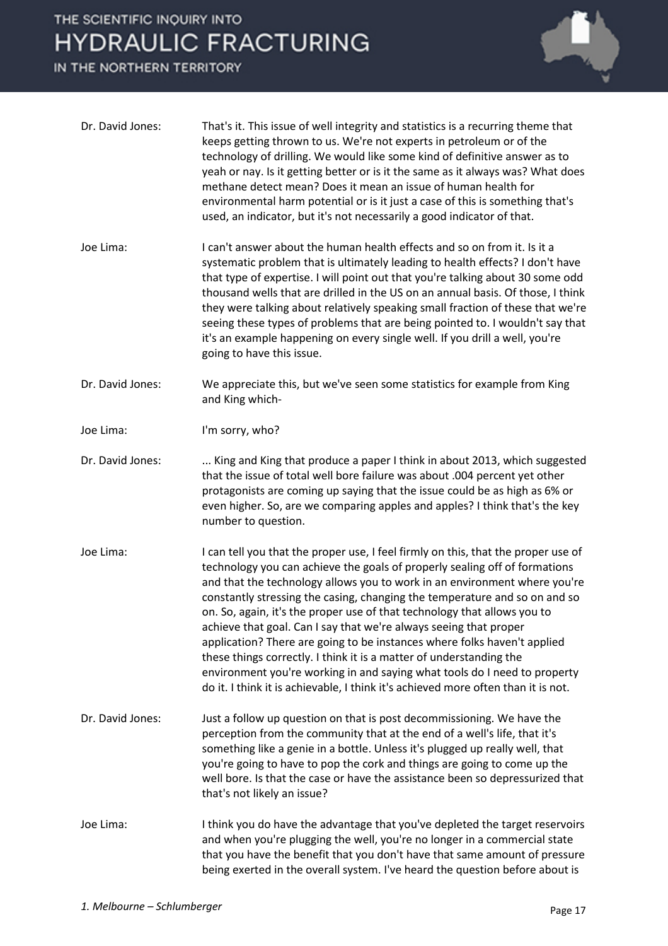

| Dr. David Jones: | That's it. This issue of well integrity and statistics is a recurring theme that<br>keeps getting thrown to us. We're not experts in petroleum or of the<br>technology of drilling. We would like some kind of definitive answer as to<br>yeah or nay. Is it getting better or is it the same as it always was? What does<br>methane detect mean? Does it mean an issue of human health for<br>environmental harm potential or is it just a case of this is something that's<br>used, an indicator, but it's not necessarily a good indicator of that.                                                                                                                                                                                                                                           |
|------------------|--------------------------------------------------------------------------------------------------------------------------------------------------------------------------------------------------------------------------------------------------------------------------------------------------------------------------------------------------------------------------------------------------------------------------------------------------------------------------------------------------------------------------------------------------------------------------------------------------------------------------------------------------------------------------------------------------------------------------------------------------------------------------------------------------|
| Joe Lima:        | I can't answer about the human health effects and so on from it. Is it a<br>systematic problem that is ultimately leading to health effects? I don't have<br>that type of expertise. I will point out that you're talking about 30 some odd<br>thousand wells that are drilled in the US on an annual basis. Of those, I think<br>they were talking about relatively speaking small fraction of these that we're<br>seeing these types of problems that are being pointed to. I wouldn't say that<br>it's an example happening on every single well. If you drill a well, you're<br>going to have this issue.                                                                                                                                                                                    |
| Dr. David Jones: | We appreciate this, but we've seen some statistics for example from King<br>and King which-                                                                                                                                                                                                                                                                                                                                                                                                                                                                                                                                                                                                                                                                                                      |
| Joe Lima:        | I'm sorry, who?                                                                                                                                                                                                                                                                                                                                                                                                                                                                                                                                                                                                                                                                                                                                                                                  |
| Dr. David Jones: | King and King that produce a paper I think in about 2013, which suggested<br>that the issue of total well bore failure was about .004 percent yet other<br>protagonists are coming up saying that the issue could be as high as 6% or<br>even higher. So, are we comparing apples and apples? I think that's the key<br>number to question.                                                                                                                                                                                                                                                                                                                                                                                                                                                      |
| Joe Lima:        | I can tell you that the proper use, I feel firmly on this, that the proper use of<br>technology you can achieve the goals of properly sealing off of formations<br>and that the technology allows you to work in an environment where you're<br>constantly stressing the casing, changing the temperature and so on and so<br>on. So, again, it's the proper use of that technology that allows you to<br>achieve that goal. Can I say that we're always seeing that proper<br>application? There are going to be instances where folks haven't applied<br>these things correctly. I think it is a matter of understanding the<br>environment you're working in and saying what tools do I need to property<br>do it. I think it is achievable, I think it's achieved more often than it is not. |
| Dr. David Jones: | Just a follow up question on that is post decommissioning. We have the<br>perception from the community that at the end of a well's life, that it's<br>something like a genie in a bottle. Unless it's plugged up really well, that<br>you're going to have to pop the cork and things are going to come up the<br>well bore. Is that the case or have the assistance been so depressurized that<br>that's not likely an issue?                                                                                                                                                                                                                                                                                                                                                                  |
| Joe Lima:        | I think you do have the advantage that you've depleted the target reservoirs<br>and when you're plugging the well, you're no longer in a commercial state<br>that you have the benefit that you don't have that same amount of pressure<br>being exerted in the overall system. I've heard the question before about is                                                                                                                                                                                                                                                                                                                                                                                                                                                                          |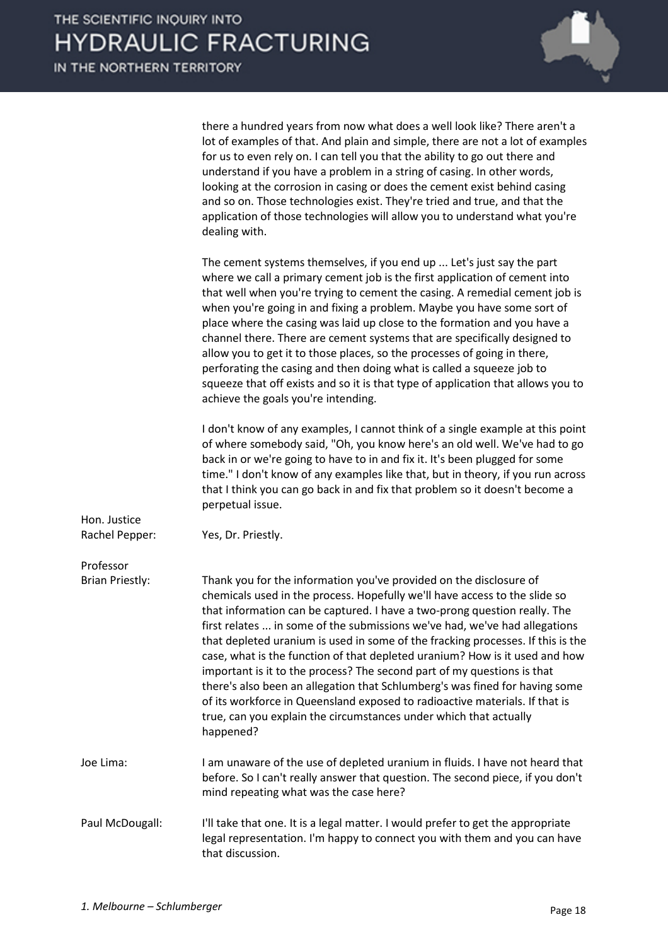

| there a hundred years from now what does a well look like? There aren't a      |
|--------------------------------------------------------------------------------|
| lot of examples of that. And plain and simple, there are not a lot of examples |
| for us to even rely on. I can tell you that the ability to go out there and    |
| understand if you have a problem in a string of casing. In other words,        |
| looking at the corrosion in casing or does the cement exist behind casing      |
| and so on. Those technologies exist. They're tried and true, and that the      |
| application of those technologies will allow you to understand what you're     |
| dealing with.                                                                  |

|                                | The cement systems themselves, if you end up  Let's just say the part<br>where we call a primary cement job is the first application of cement into<br>that well when you're trying to cement the casing. A remedial cement job is<br>when you're going in and fixing a problem. Maybe you have some sort of<br>place where the casing was laid up close to the formation and you have a<br>channel there. There are cement systems that are specifically designed to<br>allow you to get it to those places, so the processes of going in there,<br>perforating the casing and then doing what is called a squeeze job to<br>squeeze that off exists and so it is that type of application that allows you to<br>achieve the goals you're intending.                                                    |
|--------------------------------|----------------------------------------------------------------------------------------------------------------------------------------------------------------------------------------------------------------------------------------------------------------------------------------------------------------------------------------------------------------------------------------------------------------------------------------------------------------------------------------------------------------------------------------------------------------------------------------------------------------------------------------------------------------------------------------------------------------------------------------------------------------------------------------------------------|
|                                | I don't know of any examples, I cannot think of a single example at this point<br>of where somebody said, "Oh, you know here's an old well. We've had to go<br>back in or we're going to have to in and fix it. It's been plugged for some<br>time." I don't know of any examples like that, but in theory, if you run across<br>that I think you can go back in and fix that problem so it doesn't become a<br>perpetual issue.                                                                                                                                                                                                                                                                                                                                                                         |
| Hon. Justice<br>Rachel Pepper: | Yes, Dr. Priestly.                                                                                                                                                                                                                                                                                                                                                                                                                                                                                                                                                                                                                                                                                                                                                                                       |
| Professor                      |                                                                                                                                                                                                                                                                                                                                                                                                                                                                                                                                                                                                                                                                                                                                                                                                          |
| <b>Brian Priestly:</b>         | Thank you for the information you've provided on the disclosure of<br>chemicals used in the process. Hopefully we'll have access to the slide so<br>that information can be captured. I have a two-prong question really. The<br>first relates  in some of the submissions we've had, we've had allegations<br>that depleted uranium is used in some of the fracking processes. If this is the<br>case, what is the function of that depleted uranium? How is it used and how<br>important is it to the process? The second part of my questions is that<br>there's also been an allegation that Schlumberg's was fined for having some<br>of its workforce in Queensland exposed to radioactive materials. If that is<br>true, can you explain the circumstances under which that actually<br>happened? |
| Joe Lima:                      | I am unaware of the use of depleted uranium in fluids. I have not heard that<br>before. So I can't really answer that question. The second piece, if you don't<br>mind repeating what was the case here?                                                                                                                                                                                                                                                                                                                                                                                                                                                                                                                                                                                                 |
| Paul McDougall:                | I'll take that one. It is a legal matter. I would prefer to get the appropriate<br>legal representation. I'm happy to connect you with them and you can have                                                                                                                                                                                                                                                                                                                                                                                                                                                                                                                                                                                                                                             |

that discussion.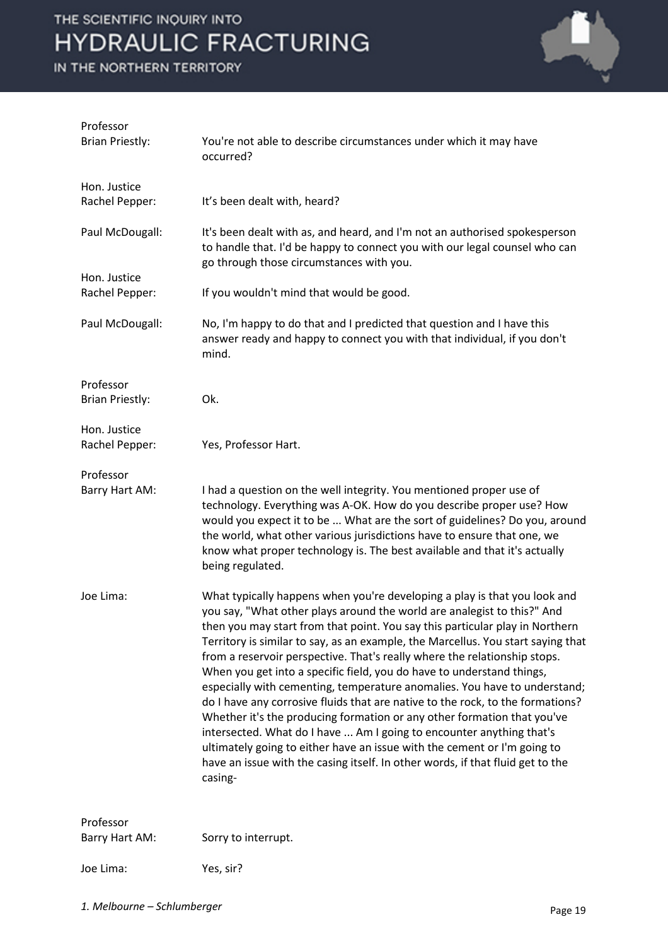

| Professor<br><b>Brian Priestly:</b> | You're not able to describe circumstances under which it may have<br>occurred?                                                                                                                                                                                                                                                                                                                                                                                                                                                                                                                                                                                                                                                                                                                                                                                                                                                                                            |
|-------------------------------------|---------------------------------------------------------------------------------------------------------------------------------------------------------------------------------------------------------------------------------------------------------------------------------------------------------------------------------------------------------------------------------------------------------------------------------------------------------------------------------------------------------------------------------------------------------------------------------------------------------------------------------------------------------------------------------------------------------------------------------------------------------------------------------------------------------------------------------------------------------------------------------------------------------------------------------------------------------------------------|
| Hon. Justice<br>Rachel Pepper:      | It's been dealt with, heard?                                                                                                                                                                                                                                                                                                                                                                                                                                                                                                                                                                                                                                                                                                                                                                                                                                                                                                                                              |
| Paul McDougall:                     | It's been dealt with as, and heard, and I'm not an authorised spokesperson<br>to handle that. I'd be happy to connect you with our legal counsel who can<br>go through those circumstances with you.                                                                                                                                                                                                                                                                                                                                                                                                                                                                                                                                                                                                                                                                                                                                                                      |
| Hon. Justice<br>Rachel Pepper:      | If you wouldn't mind that would be good.                                                                                                                                                                                                                                                                                                                                                                                                                                                                                                                                                                                                                                                                                                                                                                                                                                                                                                                                  |
| Paul McDougall:                     | No, I'm happy to do that and I predicted that question and I have this<br>answer ready and happy to connect you with that individual, if you don't<br>mind.                                                                                                                                                                                                                                                                                                                                                                                                                                                                                                                                                                                                                                                                                                                                                                                                               |
| Professor<br><b>Brian Priestly:</b> | Ok.                                                                                                                                                                                                                                                                                                                                                                                                                                                                                                                                                                                                                                                                                                                                                                                                                                                                                                                                                                       |
| Hon. Justice<br>Rachel Pepper:      | Yes, Professor Hart.                                                                                                                                                                                                                                                                                                                                                                                                                                                                                                                                                                                                                                                                                                                                                                                                                                                                                                                                                      |
| Professor<br>Barry Hart AM:         | I had a question on the well integrity. You mentioned proper use of<br>technology. Everything was A-OK. How do you describe proper use? How<br>would you expect it to be  What are the sort of guidelines? Do you, around<br>the world, what other various jurisdictions have to ensure that one, we<br>know what proper technology is. The best available and that it's actually<br>being regulated.                                                                                                                                                                                                                                                                                                                                                                                                                                                                                                                                                                     |
| Joe Lima:                           | What typically happens when you're developing a play is that you look and<br>you say, "What other plays around the world are analegist to this?" And<br>then you may start from that point. You say this particular play in Northern<br>Territory is similar to say, as an example, the Marcellus. You start saying that<br>from a reservoir perspective. That's really where the relationship stops.<br>When you get into a specific field, you do have to understand things,<br>especially with cementing, temperature anomalies. You have to understand;<br>do I have any corrosive fluids that are native to the rock, to the formations?<br>Whether it's the producing formation or any other formation that you've<br>intersected. What do I have  Am I going to encounter anything that's<br>ultimately going to either have an issue with the cement or I'm going to<br>have an issue with the casing itself. In other words, if that fluid get to the<br>casing- |
| Professor                           |                                                                                                                                                                                                                                                                                                                                                                                                                                                                                                                                                                                                                                                                                                                                                                                                                                                                                                                                                                           |
| Barry Hart AM:                      | Sorry to interrupt.                                                                                                                                                                                                                                                                                                                                                                                                                                                                                                                                                                                                                                                                                                                                                                                                                                                                                                                                                       |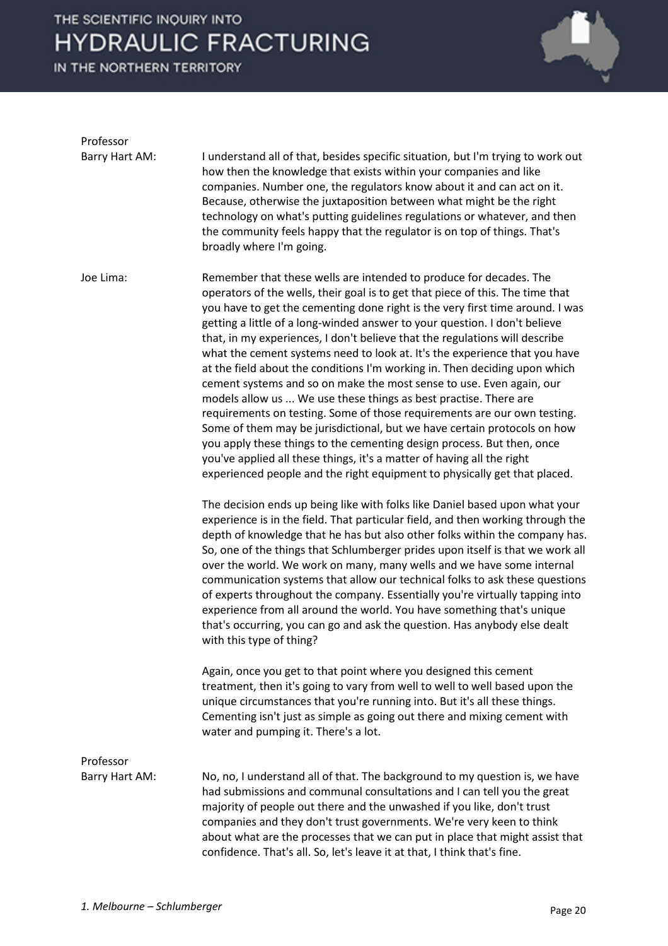

| Professor      |                                                                                                                                                                                                                                                                                                                                                                                                                                                                                                                                                                                                                                                                                                                                                                                                                                                                                                                                                                                                                                                                                                     |
|----------------|-----------------------------------------------------------------------------------------------------------------------------------------------------------------------------------------------------------------------------------------------------------------------------------------------------------------------------------------------------------------------------------------------------------------------------------------------------------------------------------------------------------------------------------------------------------------------------------------------------------------------------------------------------------------------------------------------------------------------------------------------------------------------------------------------------------------------------------------------------------------------------------------------------------------------------------------------------------------------------------------------------------------------------------------------------------------------------------------------------|
| Barry Hart AM: | I understand all of that, besides specific situation, but I'm trying to work out<br>how then the knowledge that exists within your companies and like<br>companies. Number one, the regulators know about it and can act on it.<br>Because, otherwise the juxtaposition between what might be the right<br>technology on what's putting guidelines regulations or whatever, and then<br>the community feels happy that the regulator is on top of things. That's<br>broadly where I'm going.                                                                                                                                                                                                                                                                                                                                                                                                                                                                                                                                                                                                        |
| Joe Lima:      | Remember that these wells are intended to produce for decades. The<br>operators of the wells, their goal is to get that piece of this. The time that<br>you have to get the cementing done right is the very first time around. I was<br>getting a little of a long-winded answer to your question. I don't believe<br>that, in my experiences, I don't believe that the regulations will describe<br>what the cement systems need to look at. It's the experience that you have<br>at the field about the conditions I'm working in. Then deciding upon which<br>cement systems and so on make the most sense to use. Even again, our<br>models allow us  We use these things as best practise. There are<br>requirements on testing. Some of those requirements are our own testing.<br>Some of them may be jurisdictional, but we have certain protocols on how<br>you apply these things to the cementing design process. But then, once<br>you've applied all these things, it's a matter of having all the right<br>experienced people and the right equipment to physically get that placed. |
|                | The decision ends up being like with folks like Daniel based upon what your<br>experience is in the field. That particular field, and then working through the<br>depth of knowledge that he has but also other folks within the company has.<br>So, one of the things that Schlumberger prides upon itself is that we work all<br>over the world. We work on many, many wells and we have some internal<br>communication systems that allow our technical folks to ask these questions<br>of experts throughout the company. Essentially you're virtually tapping into<br>experience from all around the world. You have something that's unique<br>that's occurring, you can go and ask the question. Has anybody else dealt<br>with this type of thing?                                                                                                                                                                                                                                                                                                                                          |
|                | Again, once you get to that point where you designed this cement<br>treatment, then it's going to vary from well to well to well based upon the<br>unique circumstances that you're running into. But it's all these things.<br>Cementing isn't just as simple as going out there and mixing cement with<br>water and pumping it. There's a lot.                                                                                                                                                                                                                                                                                                                                                                                                                                                                                                                                                                                                                                                                                                                                                    |
| Professor      |                                                                                                                                                                                                                                                                                                                                                                                                                                                                                                                                                                                                                                                                                                                                                                                                                                                                                                                                                                                                                                                                                                     |
| Barry Hart AM: | No, no, I understand all of that. The background to my question is, we have<br>had submissions and communal consultations and I can tell you the great<br>majority of people out there and the unwashed if you like, don't trust<br>companies and they don't trust governments. We're very keen to think<br>about what are the processes that we can put in place that might assist that<br>confidence. That's all. So, let's leave it at that, I think that's fine.                                                                                                                                                                                                                                                                                                                                                                                                                                                                                                                                                                                                                                |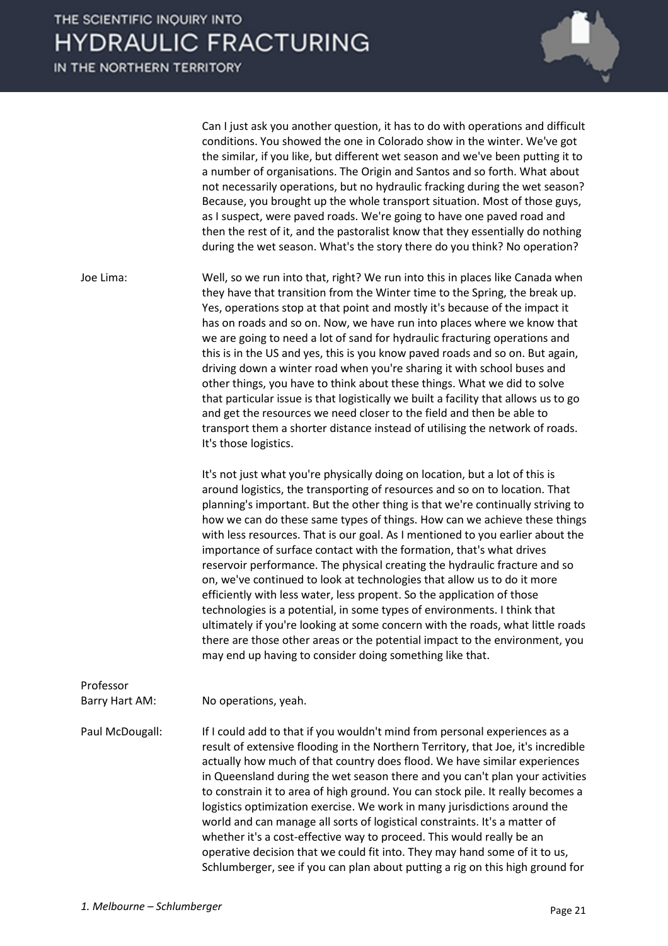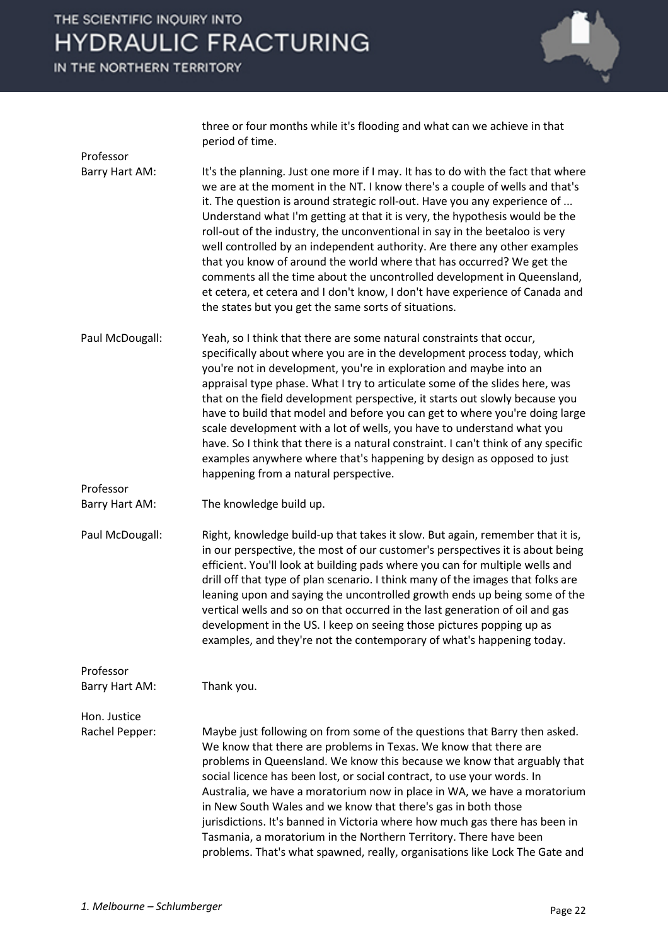IN THE NORTHERN TERRITORY

Professor

Professor



three or four months while it's flooding and what can we achieve in that period of time.

Barry Hart AM: It's the planning. Just one more if I may. It has to do with the fact that where we are at the moment in the NT. I know there's a couple of wells and that's it. The question is around strategic roll-out. Have you any experience of ... Understand what I'm getting at that it is very, the hypothesis would be the roll-out of the industry, the unconventional in say in the beetaloo is very well controlled by an independent authority. Are there any other examples that you know of around the world where that has occurred? We get the comments all the time about the uncontrolled development in Queensland, et cetera, et cetera and I don't know, I don't have experience of Canada and the states but you get the same sorts of situations.

Paul McDougall: Yeah, so I think that there are some natural constraints that occur, specifically about where you are in the development process today, which you're not in development, you're in exploration and maybe into an appraisal type phase. What I try to articulate some of the slides here, was that on the field development perspective, it starts out slowly because you have to build that model and before you can get to where you're doing large scale development with a lot of wells, you have to understand what you have. So I think that there is a natural constraint. I can't think of any specific examples anywhere where that's happening by design as opposed to just happening from a natural perspective.

Barry Hart AM: The knowledge build up.

Paul McDougall: Right, knowledge build-up that takes it slow. But again, remember that it is, in our perspective, the most of our customer's perspectives it is about being efficient. You'll look at building pads where you can for multiple wells and drill off that type of plan scenario. I think many of the images that folks are leaning upon and saying the uncontrolled growth ends up being some of the vertical wells and so on that occurred in the last generation of oil and gas development in the US. I keep on seeing those pictures popping up as examples, and they're not the contemporary of what's happening today.

Professor Barry Hart AM: Thank you. Hon. Justice

Rachel Pepper: Maybe just following on from some of the questions that Barry then asked. We know that there are problems in Texas. We know that there are problems in Queensland. We know this because we know that arguably that social licence has been lost, or social contract, to use your words. In Australia, we have a moratorium now in place in WA, we have a moratorium in New South Wales and we know that there's gas in both those jurisdictions. It's banned in Victoria where how much gas there has been in Tasmania, a moratorium in the Northern Territory. There have been problems. That's what spawned, really, organisations like Lock The Gate and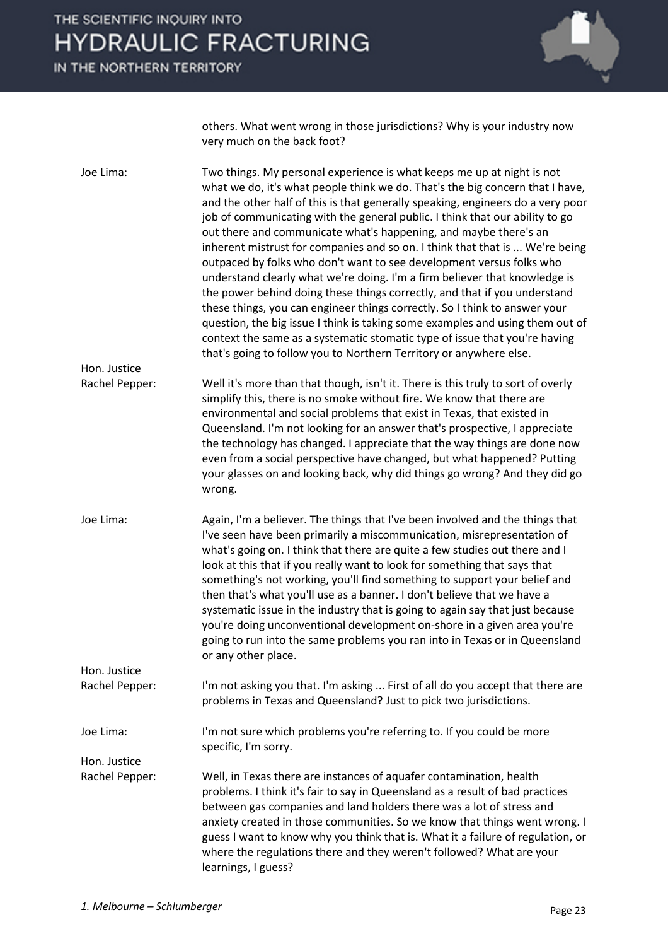IN THE NORTHERN TERRITORY



others. What went wrong in those jurisdictions? Why is your industry now very much on the back foot?

| Joe Lima:                      | Two things. My personal experience is what keeps me up at night is not<br>what we do, it's what people think we do. That's the big concern that I have,<br>and the other half of this is that generally speaking, engineers do a very poor<br>job of communicating with the general public. I think that our ability to go<br>out there and communicate what's happening, and maybe there's an<br>inherent mistrust for companies and so on. I think that that is  We're being<br>outpaced by folks who don't want to see development versus folks who<br>understand clearly what we're doing. I'm a firm believer that knowledge is<br>the power behind doing these things correctly, and that if you understand<br>these things, you can engineer things correctly. So I think to answer your<br>question, the big issue I think is taking some examples and using them out of<br>context the same as a systematic stomatic type of issue that you're having<br>that's going to follow you to Northern Territory or anywhere else. |
|--------------------------------|--------------------------------------------------------------------------------------------------------------------------------------------------------------------------------------------------------------------------------------------------------------------------------------------------------------------------------------------------------------------------------------------------------------------------------------------------------------------------------------------------------------------------------------------------------------------------------------------------------------------------------------------------------------------------------------------------------------------------------------------------------------------------------------------------------------------------------------------------------------------------------------------------------------------------------------------------------------------------------------------------------------------------------------|
| Hon. Justice                   |                                                                                                                                                                                                                                                                                                                                                                                                                                                                                                                                                                                                                                                                                                                                                                                                                                                                                                                                                                                                                                      |
| Rachel Pepper:                 | Well it's more than that though, isn't it. There is this truly to sort of overly<br>simplify this, there is no smoke without fire. We know that there are<br>environmental and social problems that exist in Texas, that existed in<br>Queensland. I'm not looking for an answer that's prospective, I appreciate<br>the technology has changed. I appreciate that the way things are done now<br>even from a social perspective have changed, but what happened? Putting<br>your glasses on and looking back, why did things go wrong? And they did go<br>wrong.                                                                                                                                                                                                                                                                                                                                                                                                                                                                    |
| Joe Lima:                      | Again, I'm a believer. The things that I've been involved and the things that<br>I've seen have been primarily a miscommunication, misrepresentation of<br>what's going on. I think that there are quite a few studies out there and I<br>look at this that if you really want to look for something that says that<br>something's not working, you'll find something to support your belief and<br>then that's what you'll use as a banner. I don't believe that we have a<br>systematic issue in the industry that is going to again say that just because<br>you're doing unconventional development on-shore in a given area you're<br>going to run into the same problems you ran into in Texas or in Queensland<br>or any other place.                                                                                                                                                                                                                                                                                         |
| Hon. Justice                   |                                                                                                                                                                                                                                                                                                                                                                                                                                                                                                                                                                                                                                                                                                                                                                                                                                                                                                                                                                                                                                      |
| Rachel Pepper:                 | I'm not asking you that. I'm asking  First of all do you accept that there are<br>problems in Texas and Queensland? Just to pick two jurisdictions.                                                                                                                                                                                                                                                                                                                                                                                                                                                                                                                                                                                                                                                                                                                                                                                                                                                                                  |
| Joe Lima:                      | I'm not sure which problems you're referring to. If you could be more<br>specific, I'm sorry.                                                                                                                                                                                                                                                                                                                                                                                                                                                                                                                                                                                                                                                                                                                                                                                                                                                                                                                                        |
| Hon. Justice<br>Rachel Pepper: | Well, in Texas there are instances of aquafer contamination, health<br>problems. I think it's fair to say in Queensland as a result of bad practices<br>between gas companies and land holders there was a lot of stress and<br>anxiety created in those communities. So we know that things went wrong. I<br>guess I want to know why you think that is. What it a failure of regulation, or<br>where the regulations there and they weren't followed? What are your<br>learnings, I guess?                                                                                                                                                                                                                                                                                                                                                                                                                                                                                                                                         |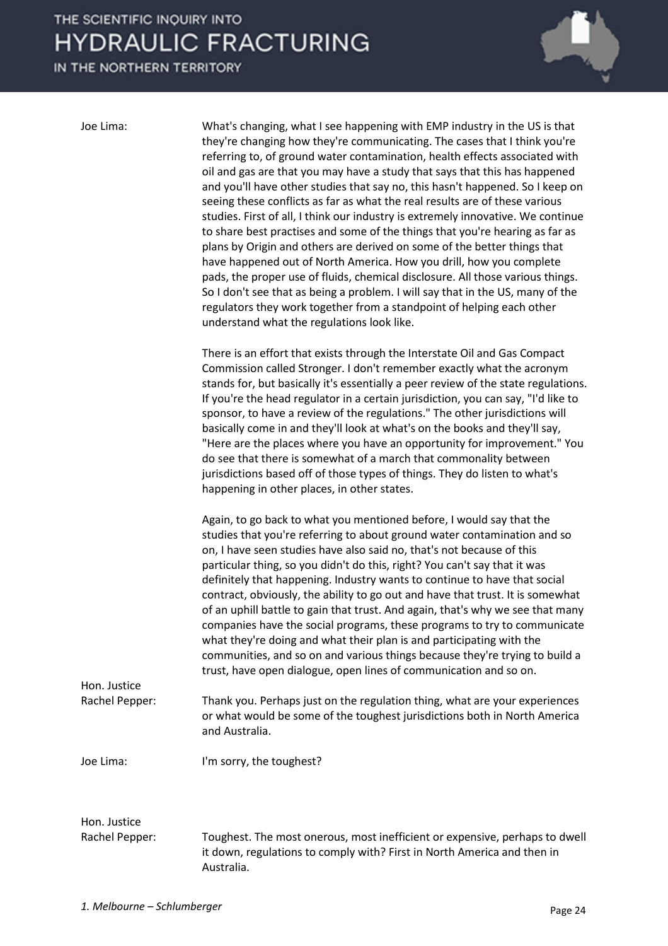IN THE NORTHERN TERRITORY



Joe Lima: What's changing, what I see happening with EMP industry in the US is that they're changing how they're communicating. The cases that I think you're referring to, of ground water contamination, health effects associated with oil and gas are that you may have a study that says that this has happened and you'll have other studies that say no, this hasn't happened. So I keep on seeing these conflicts as far as what the real results are of these various studies. First of all, I think our industry is extremely innovative. We continue to share best practises and some of the things that you're hearing as far as plans by Origin and others are derived on some of the better things that have happened out of North America. How you drill, how you complete pads, the proper use of fluids, chemical disclosure. All those various things. So I don't see that as being a problem. I will say that in the US, many of the regulators they work together from a standpoint of helping each other understand what the regulations look like.

> There is an effort that exists through the Interstate Oil and Gas Compact Commission called Stronger. I don't remember exactly what the acronym stands for, but basically it's essentially a peer review of the state regulations. If you're the head regulator in a certain jurisdiction, you can say, "I'd like to sponsor, to have a review of the regulations." The other jurisdictions will basically come in and they'll look at what's on the books and they'll say, "Here are the places where you have an opportunity for improvement." You do see that there is somewhat of a march that commonality between jurisdictions based off of those types of things. They do listen to what's happening in other places, in other states.

Again, to go back to what you mentioned before, I would say that the studies that you're referring to about ground water contamination and so on, I have seen studies have also said no, that's not because of this particular thing, so you didn't do this, right? You can't say that it was definitely that happening. Industry wants to continue to have that social contract, obviously, the ability to go out and have that trust. It is somewhat of an uphill battle to gain that trust. And again, that's why we see that many companies have the social programs, these programs to try to communicate what they're doing and what their plan is and participating with the communities, and so on and various things because they're trying to build a trust, have open dialogue, open lines of communication and so on.

Rachel Pepper: Thank you. Perhaps just on the regulation thing, what are your experiences or what would be some of the toughest jurisdictions both in North America and Australia.

Hon. Justice

Joe Lima: I'm sorry, the toughest?

# Hon. Justice

Rachel Pepper: Toughest. The most onerous, most inefficient or expensive, perhaps to dwell it down, regulations to comply with? First in North America and then in Australia.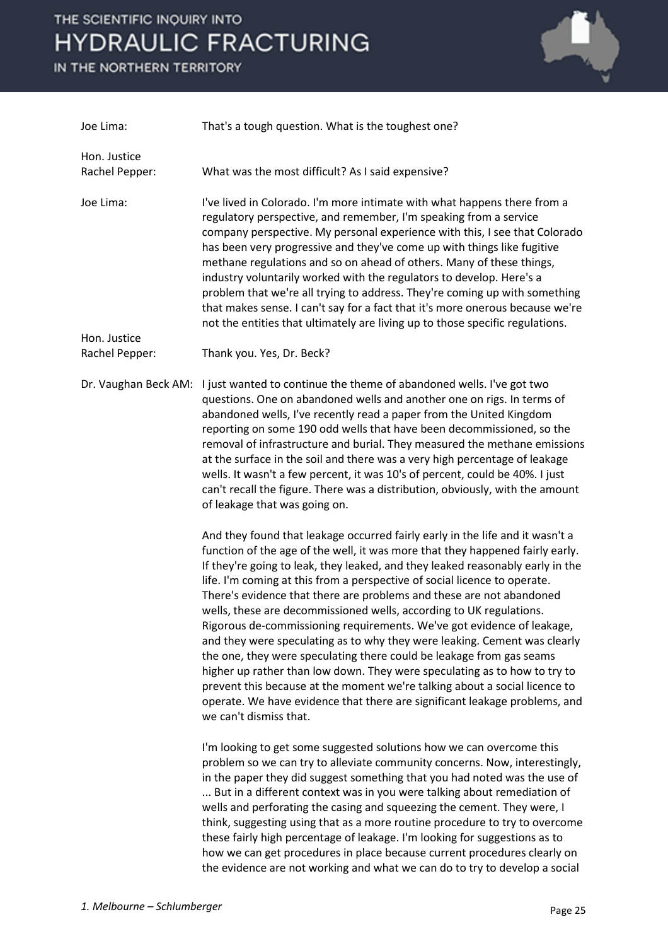IN THE NORTHERN TERRITORY



| Joe Lima:                      | That's a tough question. What is the toughest one?                                                                                                                                                                                                                                                                                                                                                                                                                                                                                                                                                                                                                                                                                                                                                                                                                                                                                                                             |
|--------------------------------|--------------------------------------------------------------------------------------------------------------------------------------------------------------------------------------------------------------------------------------------------------------------------------------------------------------------------------------------------------------------------------------------------------------------------------------------------------------------------------------------------------------------------------------------------------------------------------------------------------------------------------------------------------------------------------------------------------------------------------------------------------------------------------------------------------------------------------------------------------------------------------------------------------------------------------------------------------------------------------|
| Hon. Justice<br>Rachel Pepper: | What was the most difficult? As I said expensive?                                                                                                                                                                                                                                                                                                                                                                                                                                                                                                                                                                                                                                                                                                                                                                                                                                                                                                                              |
| Joe Lima:                      | I've lived in Colorado. I'm more intimate with what happens there from a<br>regulatory perspective, and remember, I'm speaking from a service<br>company perspective. My personal experience with this, I see that Colorado<br>has been very progressive and they've come up with things like fugitive<br>methane regulations and so on ahead of others. Many of these things,<br>industry voluntarily worked with the regulators to develop. Here's a<br>problem that we're all trying to address. They're coming up with something<br>that makes sense. I can't say for a fact that it's more onerous because we're<br>not the entities that ultimately are living up to those specific regulations.                                                                                                                                                                                                                                                                         |
| Hon. Justice<br>Rachel Pepper: | Thank you. Yes, Dr. Beck?                                                                                                                                                                                                                                                                                                                                                                                                                                                                                                                                                                                                                                                                                                                                                                                                                                                                                                                                                      |
| Dr. Vaughan Beck AM:           | I just wanted to continue the theme of abandoned wells. I've got two<br>questions. One on abandoned wells and another one on rigs. In terms of<br>abandoned wells, I've recently read a paper from the United Kingdom<br>reporting on some 190 odd wells that have been decommissioned, so the<br>removal of infrastructure and burial. They measured the methane emissions<br>at the surface in the soil and there was a very high percentage of leakage<br>wells. It wasn't a few percent, it was 10's of percent, could be 40%. I just<br>can't recall the figure. There was a distribution, obviously, with the amount<br>of leakage that was going on.                                                                                                                                                                                                                                                                                                                    |
|                                | And they found that leakage occurred fairly early in the life and it wasn't a<br>function of the age of the well, it was more that they happened fairly early.<br>If they're going to leak, they leaked, and they leaked reasonably early in the<br>life. I'm coming at this from a perspective of social licence to operate.<br>There's evidence that there are problems and these are not abandoned<br>wells, these are decommissioned wells, according to UK regulations.<br>Rigorous de-commissioning requirements. We've got evidence of leakage,<br>and they were speculating as to why they were leaking. Cement was clearly<br>the one, they were speculating there could be leakage from gas seams<br>higher up rather than low down. They were speculating as to how to try to<br>prevent this because at the moment we're talking about a social licence to<br>operate. We have evidence that there are significant leakage problems, and<br>we can't dismiss that. |
|                                | I'm looking to get some suggested solutions how we can overcome this<br>problem so we can try to alleviate community concerns. Now, interestingly,<br>in the paper they did suggest something that you had noted was the use of<br>But in a different context was in you were talking about remediation of<br>wells and perforating the casing and squeezing the cement. They were, I<br>think, suggesting using that as a more routine procedure to try to overcome<br>these fairly high percentage of leakage. I'm looking for suggestions as to<br>how we can get procedures in place because current procedures clearly on                                                                                                                                                                                                                                                                                                                                                 |

the evidence are not working and what we can do to try to develop a social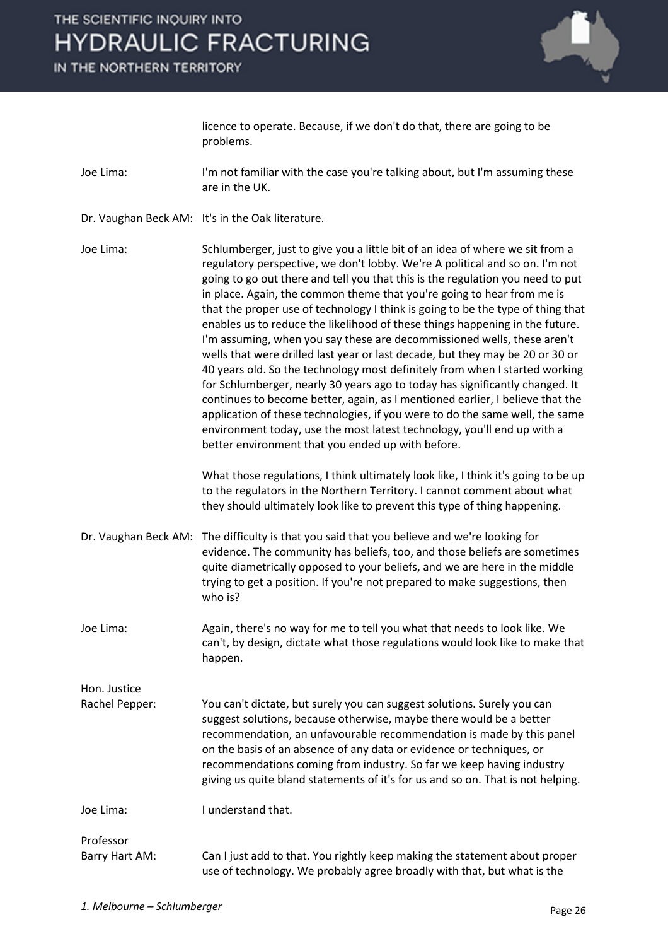

licence to operate. Because, if we don't do that, there are going to be problems.

- Joe Lima: I'm not familiar with the case you're talking about, but I'm assuming these are in the UK.
- Dr. Vaughan Beck AM: It's in the Oak literature.
- Joe Lima: Schlumberger, just to give you a little bit of an idea of where we sit from a regulatory perspective, we don't lobby. We're A political and so on. I'm not going to go out there and tell you that this is the regulation you need to put in place. Again, the common theme that you're going to hear from me is that the proper use of technology I think is going to be the type of thing that enables us to reduce the likelihood of these things happening in the future. I'm assuming, when you say these are decommissioned wells, these aren't wells that were drilled last year or last decade, but they may be 20 or 30 or 40 years old. So the technology most definitely from when I started working for Schlumberger, nearly 30 years ago to today has significantly changed. It continues to become better, again, as I mentioned earlier, I believe that the application of these technologies, if you were to do the same well, the same environment today, use the most latest technology, you'll end up with a better environment that you ended up with before.

What those regulations, I think ultimately look like, I think it's going to be up to the regulators in the Northern Territory. I cannot comment about what they should ultimately look like to prevent this type of thing happening.

- Dr. Vaughan Beck AM: The difficulty is that you said that you believe and we're looking for evidence. The community has beliefs, too, and those beliefs are sometimes quite diametrically opposed to your beliefs, and we are here in the middle trying to get a position. If you're not prepared to make suggestions, then who is?
- Joe Lima: Again, there's no way for me to tell you what that needs to look like. We can't, by design, dictate what those regulations would look like to make that happen.

Hon. Justice Rachel Pepper: You can't dictate, but surely you can suggest solutions. Surely you can suggest solutions, because otherwise, maybe there would be a better recommendation, an unfavourable recommendation is made by this panel on the basis of an absence of any data or evidence or techniques, or recommendations coming from industry. So far we keep having industry giving us quite bland statements of it's for us and so on. That is not helping.

Joe Lima: I understand that.

Professor

Barry Hart AM: Can I just add to that. You rightly keep making the statement about proper use of technology. We probably agree broadly with that, but what is the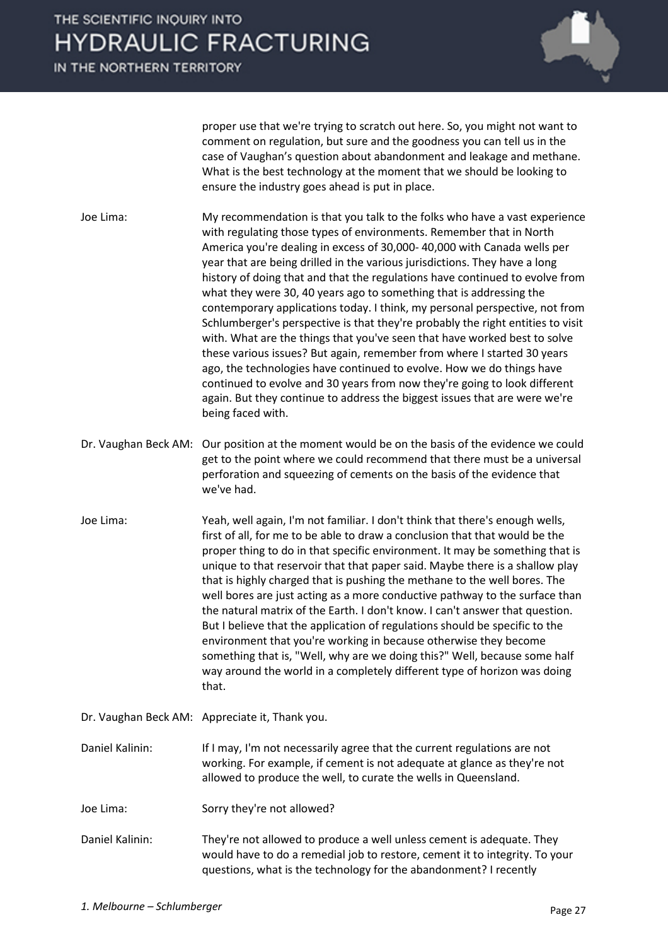

proper use that we're trying to scratch out here. So, you might not want to comment on regulation, but sure and the goodness you can tell us in the case of Vaughan's question about abandonment and leakage and methane. What is the best technology at the moment that we should be looking to ensure the industry goes ahead is put in place.

Joe Lima: My recommendation is that you talk to the folks who have a vast experience with regulating those types of environments. Remember that in North America you're dealing in excess of 30,000- 40,000 with Canada wells per year that are being drilled in the various jurisdictions. They have a long history of doing that and that the regulations have continued to evolve from what they were 30, 40 years ago to something that is addressing the contemporary applications today. I think, my personal perspective, not from Schlumberger's perspective is that they're probably the right entities to visit with. What are the things that you've seen that have worked best to solve these various issues? But again, remember from where I started 30 years ago, the technologies have continued to evolve. How we do things have continued to evolve and 30 years from now they're going to look different again. But they continue to address the biggest issues that are were we're being faced with.

- Dr. Vaughan Beck AM: Our position at the moment would be on the basis of the evidence we could get to the point where we could recommend that there must be a universal perforation and squeezing of cements on the basis of the evidence that we've had.
- Joe Lima: Yeah, well again, I'm not familiar. I don't think that there's enough wells, first of all, for me to be able to draw a conclusion that that would be the proper thing to do in that specific environment. It may be something that is unique to that reservoir that that paper said. Maybe there is a shallow play that is highly charged that is pushing the methane to the well bores. The well bores are just acting as a more conductive pathway to the surface than the natural matrix of the Earth. I don't know. I can't answer that question. But I believe that the application of regulations should be specific to the environment that you're working in because otherwise they become something that is, "Well, why are we doing this?" Well, because some half way around the world in a completely different type of horizon was doing that.
- Dr. Vaughan Beck AM: Appreciate it, Thank you.

Daniel Kalinin: If I may, I'm not necessarily agree that the current regulations are not working. For example, if cement is not adequate at glance as they're not allowed to produce the well, to curate the wells in Queensland.

- Joe Lima: Sorry they're not allowed?
- Daniel Kalinin: They're not allowed to produce a well unless cement is adequate. They would have to do a remedial job to restore, cement it to integrity. To your questions, what is the technology for the abandonment? I recently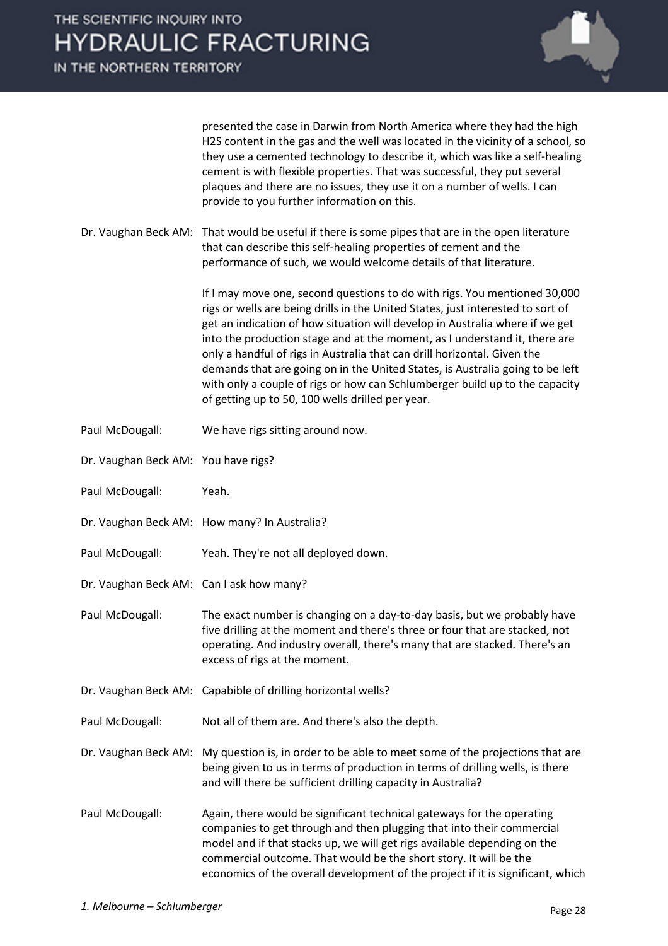

presented the case in Darwin from North America where they had the high H2S content in the gas and the well was located in the vicinity of a school, so they use a cemented technology to describe it, which was like a self-healing cement is with flexible properties. That was successful, they put several plaques and there are no issues, they use it on a number of wells. I can provide to you further information on this.

Dr. Vaughan Beck AM: That would be useful if there is some pipes that are in the open literature that can describe this self-healing properties of cement and the performance of such, we would welcome details of that literature.

> If I may move one, second questions to do with rigs. You mentioned 30,000 rigs or wells are being drills in the United States, just interested to sort of get an indication of how situation will develop in Australia where if we get into the production stage and at the moment, as I understand it, there are only a handful of rigs in Australia that can drill horizontal. Given the demands that are going on in the United States, is Australia going to be left with only a couple of rigs or how can Schlumberger build up to the capacity of getting up to 50, 100 wells drilled per year.

- Paul McDougall: We have rigs sitting around now.
- Dr. Vaughan Beck AM: You have rigs?
- Paul McDougall: Yeah.
- Dr. Vaughan Beck AM: How many? In Australia?
- Paul McDougall: Yeah. They're not all deployed down.
- Dr. Vaughan Beck AM: Can I ask how many?
- Paul McDougall: The exact number is changing on a day-to-day basis, but we probably have five drilling at the moment and there's three or four that are stacked, not operating. And industry overall, there's many that are stacked. There's an excess of rigs at the moment.
- Dr. Vaughan Beck AM: Capabible of drilling horizontal wells?
- Paul McDougall: Not all of them are. And there's also the depth.

Dr. Vaughan Beck AM: My question is, in order to be able to meet some of the projections that are being given to us in terms of production in terms of drilling wells, is there and will there be sufficient drilling capacity in Australia?

Paul McDougall: Again, there would be significant technical gateways for the operating companies to get through and then plugging that into their commercial model and if that stacks up, we will get rigs available depending on the commercial outcome. That would be the short story. It will be the economics of the overall development of the project if it is significant, which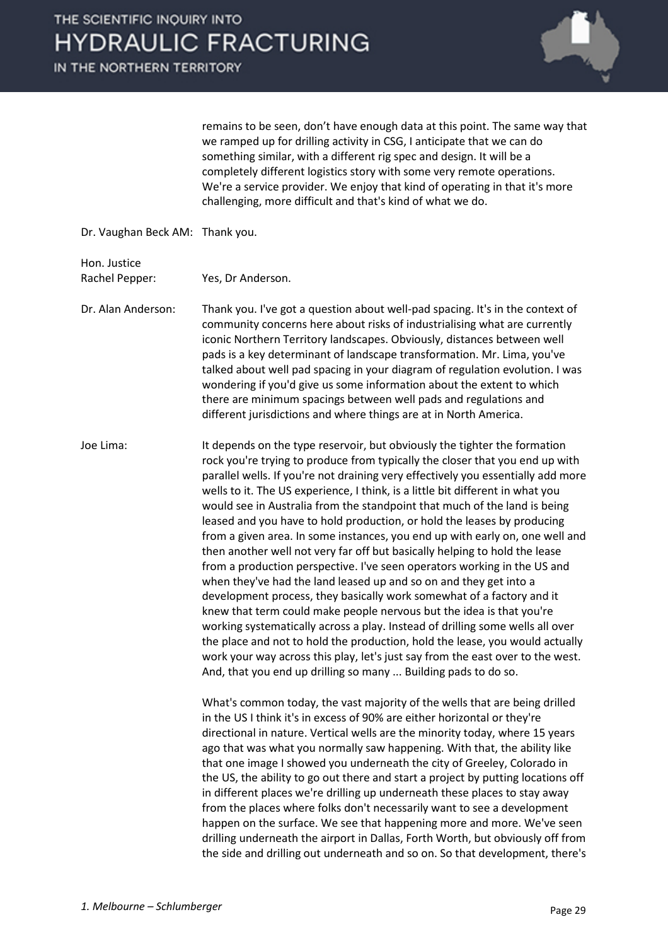

remains to be seen, don't have enough data at this point. The same way that we ramped up for drilling activity in CSG, I anticipate that we can do something similar, with a different rig spec and design. It will be a completely different logistics story with some very remote operations. We're a service provider. We enjoy that kind of operating in that it's more challenging, more difficult and that's kind of what we do.

Dr. Vaughan Beck AM: Thank you.

Hon. Justice

Rachel Pepper: Yes, Dr Anderson.

Dr. Alan Anderson: Thank you. I've got a question about well-pad spacing. It's in the context of community concerns here about risks of industrialising what are currently iconic Northern Territory landscapes. Obviously, distances between well pads is a key determinant of landscape transformation. Mr. Lima, you've talked about well pad spacing in your diagram of regulation evolution. I was wondering if you'd give us some information about the extent to which there are minimum spacings between well pads and regulations and different jurisdictions and where things are at in North America.

Joe Lima: It depends on the type reservoir, but obviously the tighter the formation rock you're trying to produce from typically the closer that you end up with parallel wells. If you're not draining very effectively you essentially add more wells to it. The US experience, I think, is a little bit different in what you would see in Australia from the standpoint that much of the land is being leased and you have to hold production, or hold the leases by producing from a given area. In some instances, you end up with early on, one well and then another well not very far off but basically helping to hold the lease from a production perspective. I've seen operators working in the US and when they've had the land leased up and so on and they get into a development process, they basically work somewhat of a factory and it knew that term could make people nervous but the idea is that you're working systematically across a play. Instead of drilling some wells all over the place and not to hold the production, hold the lease, you would actually work your way across this play, let's just say from the east over to the west. And, that you end up drilling so many ... Building pads to do so.

> What's common today, the vast majority of the wells that are being drilled in the US I think it's in excess of 90% are either horizontal or they're directional in nature. Vertical wells are the minority today, where 15 years ago that was what you normally saw happening. With that, the ability like that one image I showed you underneath the city of Greeley, Colorado in the US, the ability to go out there and start a project by putting locations off in different places we're drilling up underneath these places to stay away from the places where folks don't necessarily want to see a development happen on the surface. We see that happening more and more. We've seen drilling underneath the airport in Dallas, Forth Worth, but obviously off from the side and drilling out underneath and so on. So that development, there's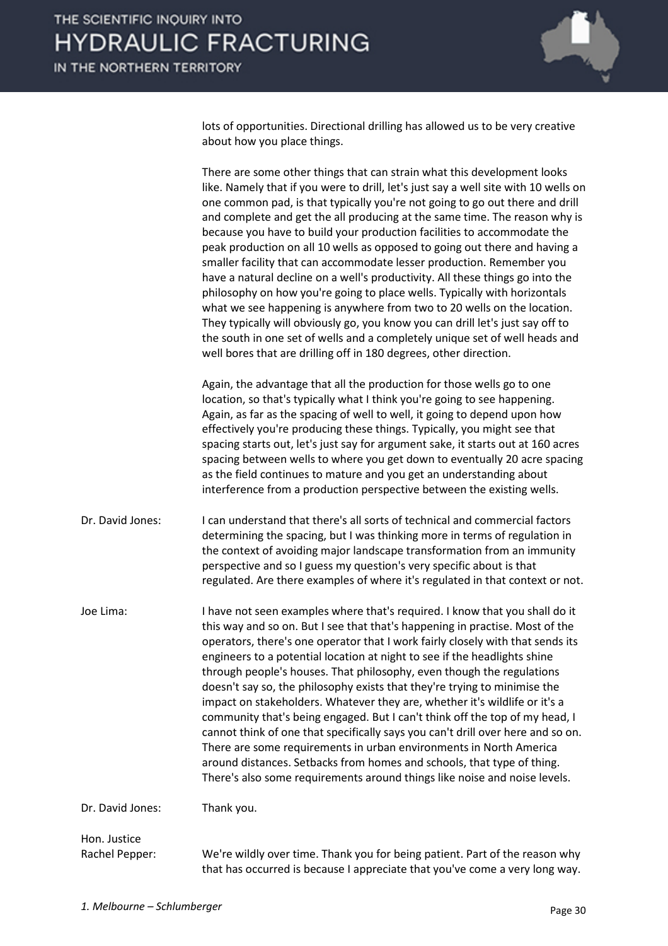

lots of opportunities. Directional drilling has allowed us to be very creative about how you place things.

There are some other things that can strain what this development looks like. Namely that if you were to drill, let's just say a well site with 10 wells on one common pad, is that typically you're not going to go out there and drill and complete and get the all producing at the same time. The reason why is because you have to build your production facilities to accommodate the peak production on all 10 wells as opposed to going out there and having a smaller facility that can accommodate lesser production. Remember you have a natural decline on a well's productivity. All these things go into the philosophy on how you're going to place wells. Typically with horizontals what we see happening is anywhere from two to 20 wells on the location. They typically will obviously go, you know you can drill let's just say off to the south in one set of wells and a completely unique set of well heads and well bores that are drilling off in 180 degrees, other direction. Again, the advantage that all the production for those wells go to one location, so that's typically what I think you're going to see happening. Again, as far as the spacing of well to well, it going to depend upon how effectively you're producing these things. Typically, you might see that spacing starts out, let's just say for argument sake, it starts out at 160 acres spacing between wells to where you get down to eventually 20 acre spacing as the field continues to mature and you get an understanding about

interference from a production perspective between the existing wells.

Dr. David Jones: I can understand that there's all sorts of technical and commercial factors determining the spacing, but I was thinking more in terms of regulation in the context of avoiding major landscape transformation from an immunity perspective and so I guess my question's very specific about is that regulated. Are there examples of where it's regulated in that context or not.

Joe Lima: I have not seen examples where that's required. I know that you shall do it this way and so on. But I see that that's happening in practise. Most of the operators, there's one operator that I work fairly closely with that sends its engineers to a potential location at night to see if the headlights shine through people's houses. That philosophy, even though the regulations doesn't say so, the philosophy exists that they're trying to minimise the impact on stakeholders. Whatever they are, whether it's wildlife or it's a community that's being engaged. But I can't think off the top of my head, I cannot think of one that specifically says you can't drill over here and so on. There are some requirements in urban environments in North America around distances. Setbacks from homes and schools, that type of thing. There's also some requirements around things like noise and noise levels.

Dr. David Jones: Thank you.

#### Hon. Justice

Rachel Pepper: We're wildly over time. Thank you for being patient. Part of the reason why that has occurred is because I appreciate that you've come a very long way.